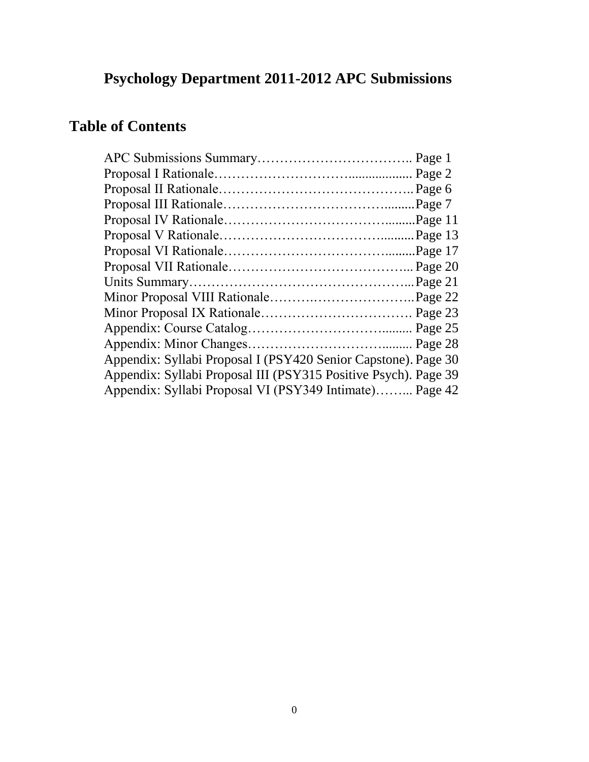# **Psychology Department 2011-2012 APC Submissions**

# **Table of Contents**

| Appendix: Syllabi Proposal I (PSY420 Senior Capstone). Page 30  |  |
|-----------------------------------------------------------------|--|
| Appendix: Syllabi Proposal III (PSY315 Positive Psych). Page 39 |  |
| Appendix: Syllabi Proposal VI (PSY349 Intimate) Page 42         |  |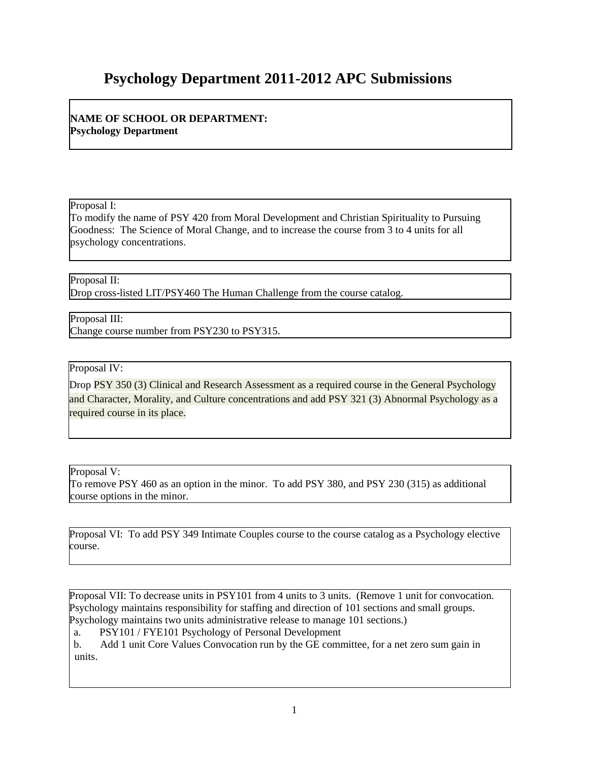# **Psychology Department 2011-2012 APC Submissions**

**NAME OF SCHOOL OR DEPARTMENT: Psychology Department**

Proposal I:

To modify the name of PSY 420 from Moral Development and Christian Spirituality to Pursuing Goodness: The Science of Moral Change, and to increase the course from 3 to 4 units for all psychology concentrations.

Proposal II:

Drop cross-listed LIT/PSY460 The Human Challenge from the course catalog.

Proposal III: Change course number from PSY230 to PSY315.

Proposal IV:

Drop PSY 350 (3) Clinical and Research Assessment as a required course in the General Psychology and Character, Morality, and Culture concentrations and add PSY 321 (3) Abnormal Psychology as a required course in its place.

Proposal V:

To remove PSY 460 as an option in the minor. To add PSY 380, and PSY 230 (315) as additional course options in the minor.

Proposal VI: To add PSY 349 Intimate Couples course to the course catalog as a Psychology elective course.

Proposal VII: To decrease units in PSY101 from 4 units to 3 units. (Remove 1 unit for convocation. Psychology maintains responsibility for staffing and direction of 101 sections and small groups. Psychology maintains two units administrative release to manage 101 sections.)

a. PSY101 / FYE101 Psychology of Personal Development

b. Add 1 unit Core Values Convocation run by the GE committee, for a net zero sum gain in units.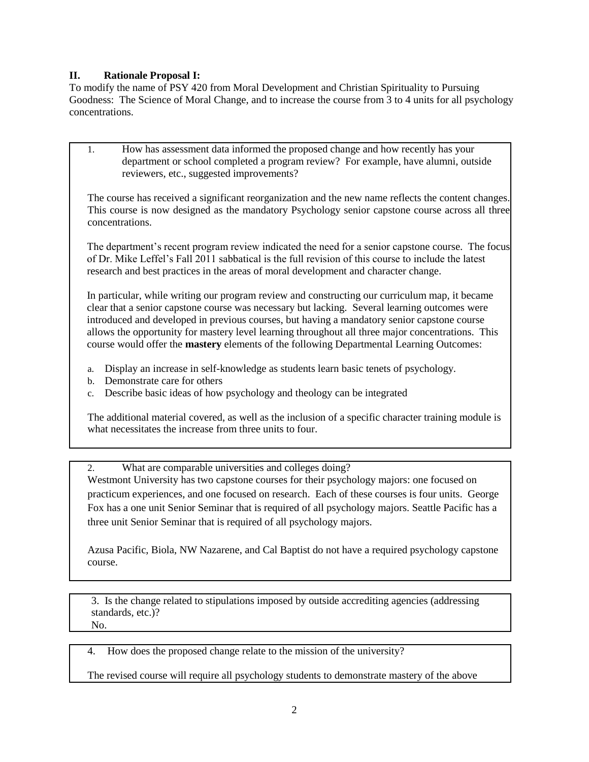#### **II. Rationale Proposal I:**

To modify the name of PSY 420 from Moral Development and Christian Spirituality to Pursuing Goodness: The Science of Moral Change, and to increase the course from 3 to 4 units for all psychology concentrations.

1. How has assessment data informed the proposed change and how recently has your department or school completed a program review? For example, have alumni, outside reviewers, etc., suggested improvements?

The course has received a significant reorganization and the new name reflects the content changes. This course is now designed as the mandatory Psychology senior capstone course across all three concentrations.

The department's recent program review indicated the need for a senior capstone course. The focus of Dr. Mike Leffel's Fall 2011 sabbatical is the full revision of this course to include the latest research and best practices in the areas of moral development and character change.

In particular, while writing our program review and constructing our curriculum map, it became clear that a senior capstone course was necessary but lacking. Several learning outcomes were introduced and developed in previous courses, but having a mandatory senior capstone course allows the opportunity for mastery level learning throughout all three major concentrations. This course would offer the **mastery** elements of the following Departmental Learning Outcomes:

- a. Display an increase in self-knowledge as students learn basic tenets of psychology.
- b. Demonstrate care for others
- c. Describe basic ideas of how psychology and theology can be integrated

The additional material covered, as well as the inclusion of a specific character training module is what necessitates the increase from three units to four.

2. What are comparable universities and colleges doing?

Westmont University has two capstone courses for their psychology majors: one focused on practicum experiences, and one focused on research. Each of these courses is four units. George Fox has a one unit Senior Seminar that is required of all psychology majors. Seattle Pacific has a three unit Senior Seminar that is required of all psychology majors.

Azusa Pacific, Biola, NW Nazarene, and Cal Baptist do not have a required psychology capstone course.

3. Is the change related to stipulations imposed by outside accrediting agencies (addressing standards, etc.)? No.

4. How does the proposed change relate to the mission of the university?

The revised course will require all psychology students to demonstrate mastery of the above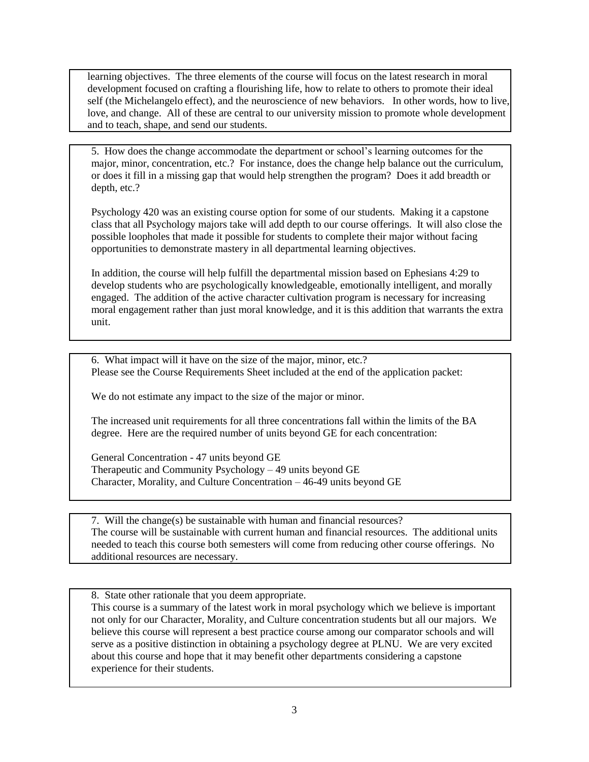learning objectives. The three elements of the course will focus on the latest research in moral development focused on crafting a flourishing life, how to relate to others to promote their ideal self (the Michelangelo effect), and the neuroscience of new behaviors. In other words, how to live, love, and change. All of these are central to our university mission to promote whole development and to teach, shape, and send our students.

5. How does the change accommodate the department or school's learning outcomes for the major, minor, concentration, etc.? For instance, does the change help balance out the curriculum, or does it fill in a missing gap that would help strengthen the program? Does it add breadth or depth, etc.?

Psychology 420 was an existing course option for some of our students. Making it a capstone class that all Psychology majors take will add depth to our course offerings. It will also close the possible loopholes that made it possible for students to complete their major without facing opportunities to demonstrate mastery in all departmental learning objectives.

In addition, the course will help fulfill the departmental mission based on Ephesians 4:29 to develop students who are psychologically knowledgeable, emotionally intelligent, and morally engaged. The addition of the active character cultivation program is necessary for increasing moral engagement rather than just moral knowledge, and it is this addition that warrants the extra unit.

6. What impact will it have on the size of the major, minor, etc.? Please see the Course Requirements Sheet included at the end of the application packet:

We do not estimate any impact to the size of the major or minor.

The increased unit requirements for all three concentrations fall within the limits of the BA degree. Here are the required number of units beyond GE for each concentration:

General Concentration - 47 units beyond GE Therapeutic and Community Psychology – 49 units beyond GE Character, Morality, and Culture Concentration – 46-49 units beyond GE

7. Will the change(s) be sustainable with human and financial resources? The course will be sustainable with current human and financial resources. The additional units needed to teach this course both semesters will come from reducing other course offerings. No additional resources are necessary.

8. State other rationale that you deem appropriate.

This course is a summary of the latest work in moral psychology which we believe is important not only for our Character, Morality, and Culture concentration students but all our majors. We believe this course will represent a best practice course among our comparator schools and will serve as a positive distinction in obtaining a psychology degree at PLNU. We are very excited about this course and hope that it may benefit other departments considering a capstone experience for their students.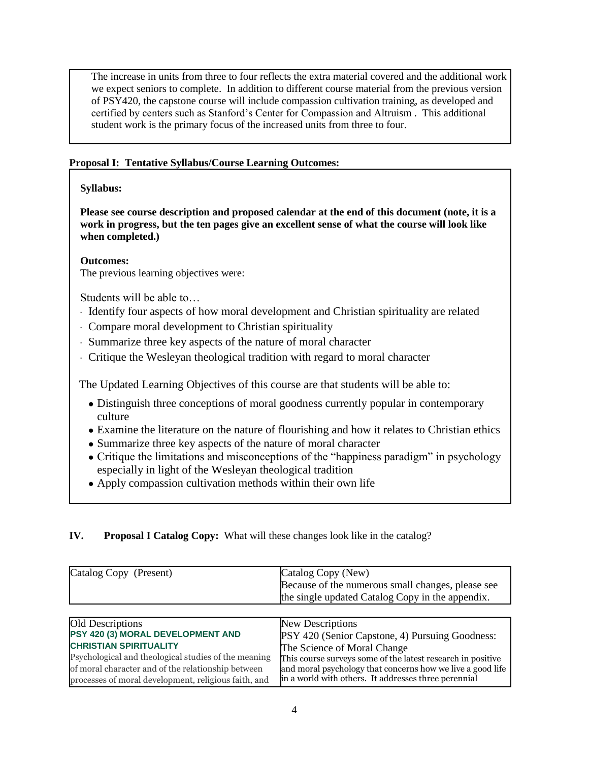The increase in units from three to four reflects the extra material covered and the additional work we expect seniors to complete. In addition to different course material from the previous version of PSY420, the capstone course will include compassion cultivation training, as developed and certified by centers such as Stanford's Center for Compassion and Altruism . This additional student work is the primary focus of the increased units from three to four.

#### **Proposal I: Tentative Syllabus/Course Learning Outcomes:**

#### **Syllabus:**

**Please see course description and proposed calendar at the end of this document (note, it is a work in progress, but the ten pages give an excellent sense of what the course will look like when completed.)**

**Outcomes:**

The previous learning objectives were:

Students will be able to…

- · Identify four aspects of how moral development and Christian spirituality are related
- · Compare moral development to Christian spirituality
- · Summarize three key aspects of the nature of moral character
- · Critique the Wesleyan theological tradition with regard to moral character

The Updated Learning Objectives of this course are that students will be able to:

- Distinguish three conceptions of moral goodness currently popular in contemporary culture
- Examine the literature on the nature of flourishing and how it relates to Christian ethics
- Summarize three key aspects of the nature of moral character
- Critique the limitations and misconceptions of the "happiness paradigm" in psychology especially in light of the Wesleyan theological tradition
- Apply compassion cultivation methods within their own life
- **IV. Proposal I Catalog Copy:** What will these changes look like in the catalog?

| Catalog Copy (Present)                               | Catalog Copy (New)<br>Because of the numerous small changes, please see<br>the single updated Catalog Copy in the appendix. |  |  |
|------------------------------------------------------|-----------------------------------------------------------------------------------------------------------------------------|--|--|
| <b>Old Descriptions</b>                              | New Descriptions                                                                                                            |  |  |
| PSY 420 (3) MORAL DEVELOPMENT AND                    | PSY 420 (Senior Capstone, 4) Pursuing Goodness:                                                                             |  |  |
| <b>CHRISTIAN SPIRITUALITY</b>                        | The Science of Moral Change                                                                                                 |  |  |
| Psychological and theological studies of the meaning | This course surveys some of the latest research in positive                                                                 |  |  |
| of moral character and of the relationship between   | and moral psychology that concerns how we live a good life                                                                  |  |  |
| processes of moral development, religious faith, and | in a world with others. It addresses three perennial                                                                        |  |  |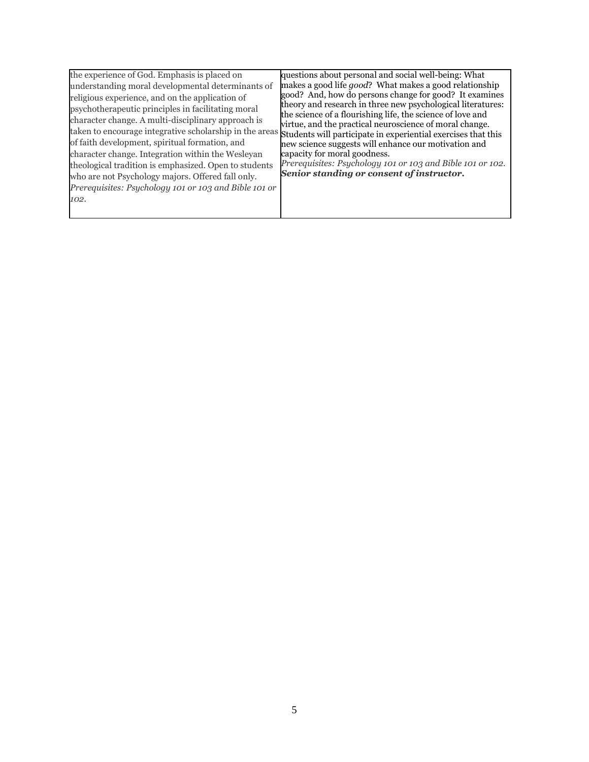| the experience of God. Emphasis is placed on                                                                                                                                                                                                                                                                                                                                                                                                                                                   | questions about personal and social well-being: What                                                                                                                                                                                                                                                                                                                                                                                                                                                                                                                       |
|------------------------------------------------------------------------------------------------------------------------------------------------------------------------------------------------------------------------------------------------------------------------------------------------------------------------------------------------------------------------------------------------------------------------------------------------------------------------------------------------|----------------------------------------------------------------------------------------------------------------------------------------------------------------------------------------------------------------------------------------------------------------------------------------------------------------------------------------------------------------------------------------------------------------------------------------------------------------------------------------------------------------------------------------------------------------------------|
|                                                                                                                                                                                                                                                                                                                                                                                                                                                                                                | makes a good life good? What makes a good relationship                                                                                                                                                                                                                                                                                                                                                                                                                                                                                                                     |
| understanding moral developmental determinants of<br>religious experience, and on the application of<br>psychotherapeutic principles in facilitating moral<br>character change. A multi-disciplinary approach is<br>of faith development, spiritual formation, and<br>character change. Integration within the Wesleyan<br>theological tradition is emphasized. Open to students<br>who are not Psychology majors. Offered fall only.<br>Prerequisites: Psychology 101 or 103 and Bible 101 or | good? And, how do persons change for good? It examines<br>theory and research in three new psychological literatures:<br>the science of a flourishing life, the science of love and<br>virtue, and the practical neuroscience of moral change.<br>taken to encourage integrative scholarship in the areas Students will participate in experiential exercises that this<br>new science suggests will enhance our motivation and<br>capacity for moral goodness.<br>Prerequisites: Psychology 101 or 103 and Bible 101 or 102.<br>Senior standing or consent of instructor. |
| 102.                                                                                                                                                                                                                                                                                                                                                                                                                                                                                           |                                                                                                                                                                                                                                                                                                                                                                                                                                                                                                                                                                            |
|                                                                                                                                                                                                                                                                                                                                                                                                                                                                                                |                                                                                                                                                                                                                                                                                                                                                                                                                                                                                                                                                                            |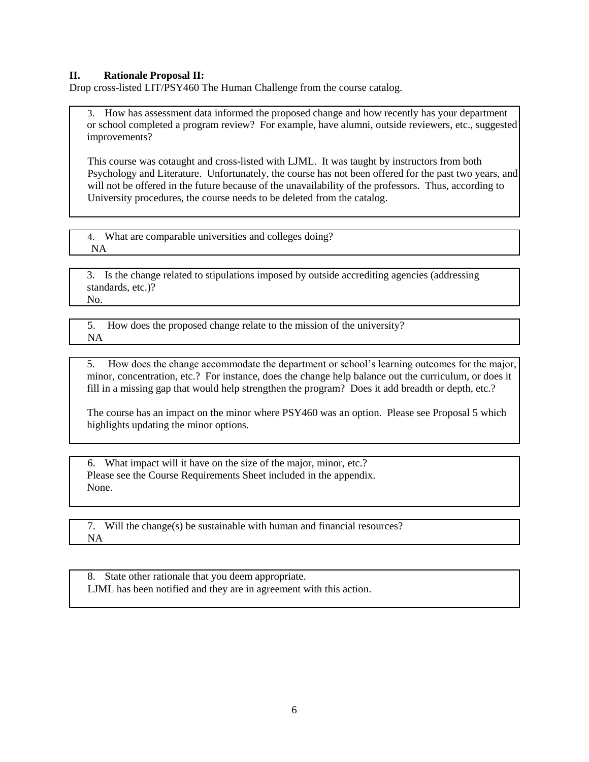#### **II. Rationale Proposal II:**

Drop cross-listed LIT/PSY460 The Human Challenge from the course catalog.

3. How has assessment data informed the proposed change and how recently has your department or school completed a program review? For example, have alumni, outside reviewers, etc., suggested improvements?

This course was cotaught and cross-listed with LJML. It was taught by instructors from both Psychology and Literature. Unfortunately, the course has not been offered for the past two years, and will not be offered in the future because of the unavailability of the professors. Thus, according to University procedures, the course needs to be deleted from the catalog.

4. What are comparable universities and colleges doing? NA

3. Is the change related to stipulations imposed by outside accrediting agencies (addressing standards, etc.)? No.

5. How does the proposed change relate to the mission of the university? NA

5. How does the change accommodate the department or school's learning outcomes for the major, minor, concentration, etc.? For instance, does the change help balance out the curriculum, or does it fill in a missing gap that would help strengthen the program? Does it add breadth or depth, etc.?

The course has an impact on the minor where PSY460 was an option. Please see Proposal 5 which highlights updating the minor options.

6. What impact will it have on the size of the major, minor, etc.? Please see the Course Requirements Sheet included in the appendix. None.

7. Will the change(s) be sustainable with human and financial resources? NA

8. State other rationale that you deem appropriate. LJML has been notified and they are in agreement with this action.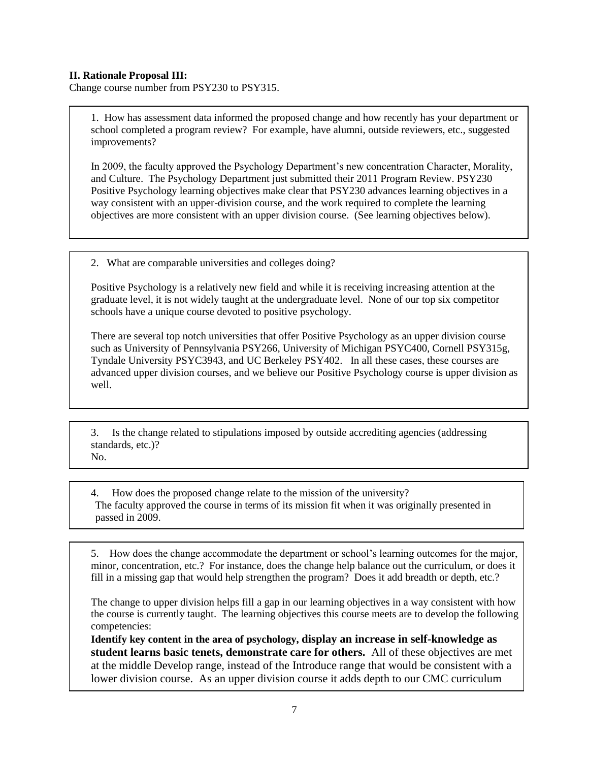#### **II. Rationale Proposal III:**

Change course number from PSY230 to PSY315.

1. How has assessment data informed the proposed change and how recently has your department or school completed a program review? For example, have alumni, outside reviewers, etc., suggested improvements?

In 2009, the faculty approved the Psychology Department's new concentration Character, Morality, and Culture. The Psychology Department just submitted their 2011 Program Review. PSY230 Positive Psychology learning objectives make clear that PSY230 advances learning objectives in a way consistent with an upper-division course, and the work required to complete the learning objectives are more consistent with an upper division course. (See learning objectives below).

2. What are comparable universities and colleges doing?

Positive Psychology is a relatively new field and while it is receiving increasing attention at the graduate level, it is not widely taught at the undergraduate level. None of our top six competitor schools have a unique course devoted to positive psychology.

There are several top notch universities that offer Positive Psychology as an upper division course such as University of Pennsylvania PSY266, University of Michigan PSYC400, Cornell PSY315g, Tyndale University PSYC3943, and UC Berkeley PSY402. In all these cases, these courses are advanced upper division courses, and we believe our Positive Psychology course is upper division as well.

3. Is the change related to stipulations imposed by outside accrediting agencies (addressing standards, etc.)? No.

4. How does the proposed change relate to the mission of the university? The faculty approved the course in terms of its mission fit when it was originally presented in passed in 2009.

5. How does the change accommodate the department or school's learning outcomes for the major, minor, concentration, etc.? For instance, does the change help balance out the curriculum, or does it fill in a missing gap that would help strengthen the program? Does it add breadth or depth, etc.?

The change to upper division helps fill a gap in our learning objectives in a way consistent with how the course is currently taught. The learning objectives this course meets are to develop the following competencies:

**Identify key content in the area of psychology, display an increase in self-knowledge as student learns basic tenets, demonstrate care for others.** All of these objectives are met at the middle Develop range, instead of the Introduce range that would be consistent with a lower division course. As an upper division course it adds depth to our CMC curriculum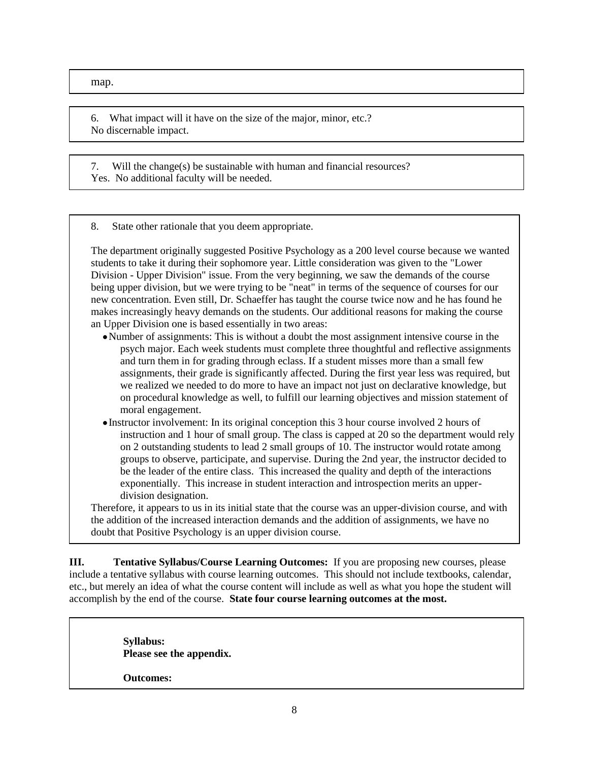map.

6. What impact will it have on the size of the major, minor, etc.? No discernable impact.

7. Will the change(s) be sustainable with human and financial resources? Yes. No additional faculty will be needed.

8. State other rationale that you deem appropriate.

The department originally suggested Positive Psychology as a 200 level course because we wanted students to take it during their sophomore year. Little consideration was given to the "Lower Division - Upper Division" issue. From the very beginning, we saw the demands of the course being upper division, but we were trying to be "neat" in terms of the sequence of courses for our new concentration. Even still, Dr. Schaeffer has taught the course twice now and he has found he makes increasingly heavy demands on the students. Our additional reasons for making the course an Upper Division one is based essentially in two areas:

- Number of assignments: This is without a doubt the most assignment intensive course in the psych major. Each week students must complete three thoughtful and reflective assignments and turn them in for grading through eclass. If a student misses more than a small few assignments, their grade is significantly affected. During the first year less was required, but we realized we needed to do more to have an impact not just on declarative knowledge, but on procedural knowledge as well, to fulfill our learning objectives and mission statement of moral engagement.
- Instructor involvement: In its original conception this 3 hour course involved 2 hours of instruction and 1 hour of small group. The class is capped at 20 so the department would rely on 2 outstanding students to lead 2 small groups of 10. The instructor would rotate among groups to observe, participate, and supervise. During the 2nd year, the instructor decided to be the leader of the entire class. This increased the quality and depth of the interactions exponentially. This increase in student interaction and introspection merits an upperdivision designation.

Therefore, it appears to us in its initial state that the course was an upper-division course, and with the addition of the increased interaction demands and the addition of assignments, we have no doubt that Positive Psychology is an upper division course.

**III. Tentative Syllabus/Course Learning Outcomes:** If you are proposing new courses, please include a tentative syllabus with course learning outcomes. This should not include textbooks, calendar, etc., but merely an idea of what the course content will include as well as what you hope the student will accomplish by the end of the course. **State four course learning outcomes at the most.** 

> **Syllabus: Please see the appendix. Outcomes:**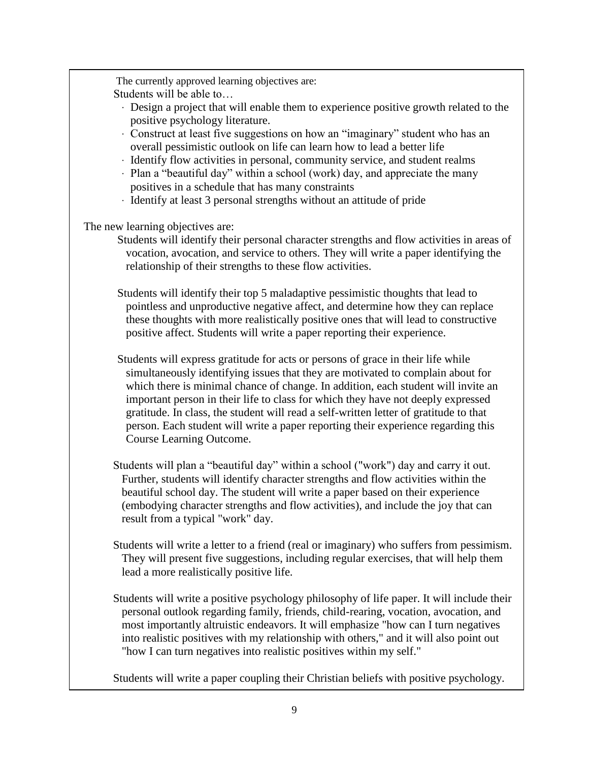The currently approved learning objectives are: Students will be able to…

- · Design a project that will enable them to experience positive growth related to the positive psychology literature.
- Construct at least five suggestions on how an "imaginary" student who has an overall pessimistic outlook on life can learn how to lead a better life
- · Identify flow activities in personal, community service, and student realms
- · Plan a "beautiful day" within a school (work) day, and appreciate the many positives in a schedule that has many constraints
- · Identify at least 3 personal strengths without an attitude of pride

The new learning objectives are:

Students will identify their personal character strengths and flow activities in areas of vocation, avocation, and service to others. They will write a paper identifying the relationship of their strengths to these flow activities.

Students will identify their top 5 maladaptive pessimistic thoughts that lead to pointless and unproductive negative affect, and determine how they can replace these thoughts with more realistically positive ones that will lead to constructive positive affect. Students will write a paper reporting their experience.

Students will express gratitude for acts or persons of grace in their life while simultaneously identifying issues that they are motivated to complain about for which there is minimal chance of change. In addition, each student will invite an important person in their life to class for which they have not deeply expressed gratitude. In class, the student will read a self-written letter of gratitude to that person. Each student will write a paper reporting their experience regarding this Course Learning Outcome.

Students will plan a "beautiful day" within a school ("work") day and carry it out. Further, students will identify character strengths and flow activities within the beautiful school day. The student will write a paper based on their experience (embodying character strengths and flow activities), and include the joy that can result from a typical "work" day.

Students will write a letter to a friend (real or imaginary) who suffers from pessimism. They will present five suggestions, including regular exercises, that will help them lead a more realistically positive life.

Students will write a positive psychology philosophy of life paper. It will include their personal outlook regarding family, friends, child-rearing, vocation, avocation, and most importantly altruistic endeavors. It will emphasize "how can I turn negatives into realistic positives with my relationship with others," and it will also point out "how I can turn negatives into realistic positives within my self."

Students will write a paper coupling their Christian beliefs with positive psychology.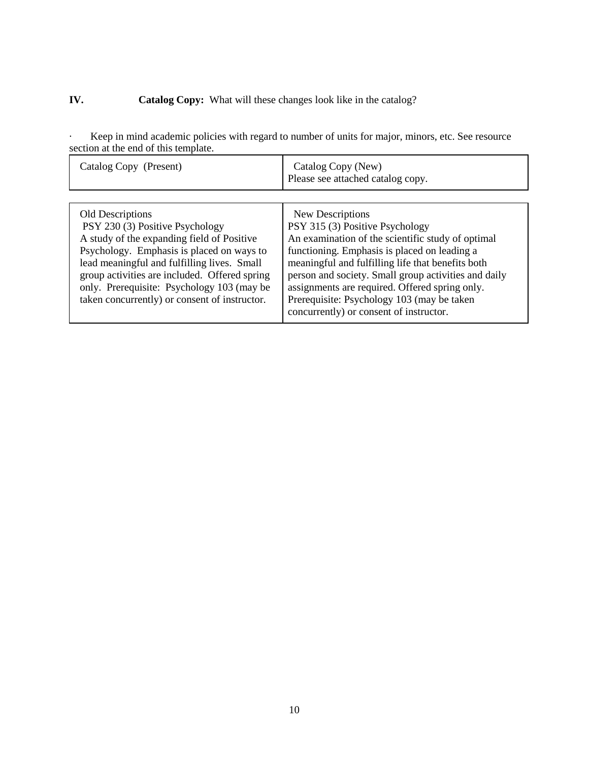## **IV.** Catalog Copy: What will these changes look like in the catalog?

· Keep in mind academic policies with regard to number of units for major, minors, etc. See resource section at the end of this template.

| Catalog Copy (Present)                                                                                                                                                                                                                                                                                                                               | Catalog Copy (New)<br>Please see attached catalog copy.                                                                                                                                                                                                                                                                                                                                                          |
|------------------------------------------------------------------------------------------------------------------------------------------------------------------------------------------------------------------------------------------------------------------------------------------------------------------------------------------------------|------------------------------------------------------------------------------------------------------------------------------------------------------------------------------------------------------------------------------------------------------------------------------------------------------------------------------------------------------------------------------------------------------------------|
| <b>Old Descriptions</b><br>PSY 230 (3) Positive Psychology<br>A study of the expanding field of Positive<br>Psychology. Emphasis is placed on ways to<br>lead meaningful and fulfilling lives. Small<br>group activities are included. Offered spring<br>only. Prerequisite: Psychology 103 (may be<br>taken concurrently) or consent of instructor. | New Descriptions<br>PSY 315 (3) Positive Psychology<br>An examination of the scientific study of optimal<br>functioning. Emphasis is placed on leading a<br>meaningful and fulfilling life that benefits both<br>person and society. Small group activities and daily<br>assignments are required. Offered spring only.<br>Prerequisite: Psychology 103 (may be taken<br>concurrently) or consent of instructor. |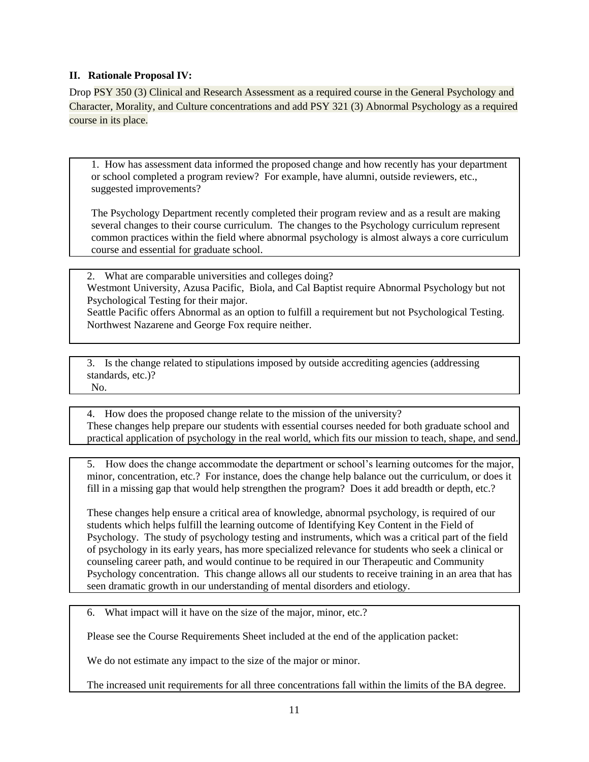#### **II. Rationale Proposal IV:**

Drop PSY 350 (3) Clinical and Research Assessment as a required course in the General Psychology and Character, Morality, and Culture concentrations and add PSY 321 (3) Abnormal Psychology as a required course in its place.

1. How has assessment data informed the proposed change and how recently has your department or school completed a program review? For example, have alumni, outside reviewers, etc., suggested improvements?

The Psychology Department recently completed their program review and as a result are making several changes to their course curriculum. The changes to the Psychology curriculum represent common practices within the field where abnormal psychology is almost always a core curriculum course and essential for graduate school.

2. What are comparable universities and colleges doing? Westmont University, Azusa Pacific, Biola, and Cal Baptist require Abnormal Psychology but not Psychological Testing for their major.

Seattle Pacific offers Abnormal as an option to fulfill a requirement but not Psychological Testing. Northwest Nazarene and George Fox require neither.

3. Is the change related to stipulations imposed by outside accrediting agencies (addressing standards, etc.)? No.

4. How does the proposed change relate to the mission of the university? These changes help prepare our students with essential courses needed for both graduate school and practical application of psychology in the real world, which fits our mission to teach, shape, and send.

5. How does the change accommodate the department or school's learning outcomes for the major, minor, concentration, etc.? For instance, does the change help balance out the curriculum, or does it fill in a missing gap that would help strengthen the program? Does it add breadth or depth, etc.?

These changes help ensure a critical area of knowledge, abnormal psychology, is required of our students which helps fulfill the learning outcome of Identifying Key Content in the Field of Psychology. The study of psychology testing and instruments, which was a critical part of the field of psychology in its early years, has more specialized relevance for students who seek a clinical or counseling career path, and would continue to be required in our Therapeutic and Community Psychology concentration. This change allows all our students to receive training in an area that has seen dramatic growth in our understanding of mental disorders and etiology.

6. What impact will it have on the size of the major, minor, etc.?

Please see the Course Requirements Sheet included at the end of the application packet:

We do not estimate any impact to the size of the major or minor.

The increased unit requirements for all three concentrations fall within the limits of the BA degree.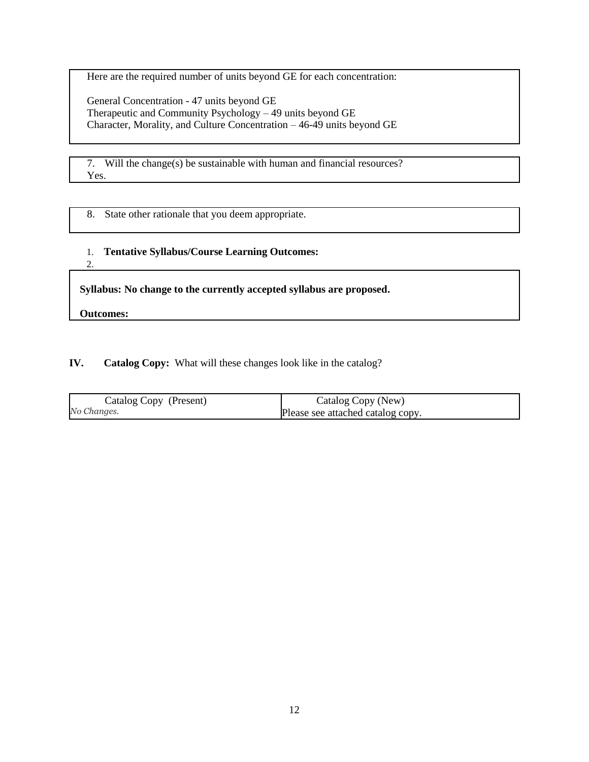Here are the required number of units beyond GE for each concentration:

General Concentration - 47 units beyond GE Therapeutic and Community Psychology – 49 units beyond GE Character, Morality, and Culture Concentration – 46-49 units beyond GE

7. Will the change(s) be sustainable with human and financial resources? Yes.

8. State other rationale that you deem appropriate.

### 1. **Tentative Syllabus/Course Learning Outcomes:**

2.

**Syllabus: No change to the currently accepted syllabus are proposed.**

**Outcomes:**

### **IV. Catalog Copy:** What will these changes look like in the catalog?

| Catalog Copy (Present) | Catalog Copy (New)                |
|------------------------|-----------------------------------|
| No Changes.            | Please see attached catalog copy. |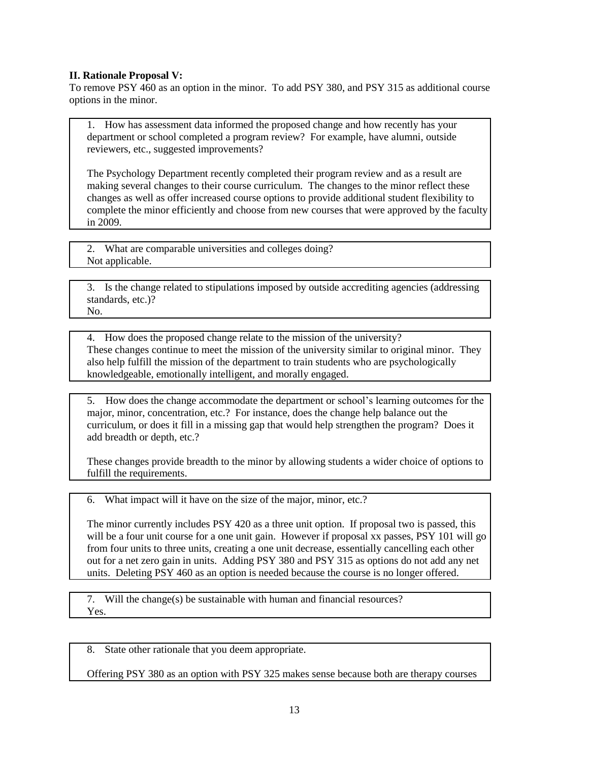#### **II. Rationale Proposal V:**

To remove PSY 460 as an option in the minor. To add PSY 380, and PSY 315 as additional course options in the minor.

1. How has assessment data informed the proposed change and how recently has your department or school completed a program review? For example, have alumni, outside reviewers, etc., suggested improvements?

The Psychology Department recently completed their program review and as a result are making several changes to their course curriculum. The changes to the minor reflect these changes as well as offer increased course options to provide additional student flexibility to complete the minor efficiently and choose from new courses that were approved by the faculty in 2009.

2. What are comparable universities and colleges doing? Not applicable.

3. Is the change related to stipulations imposed by outside accrediting agencies (addressing standards, etc.)? No.

4. How does the proposed change relate to the mission of the university? These changes continue to meet the mission of the university similar to original minor. They also help fulfill the mission of the department to train students who are psychologically knowledgeable, emotionally intelligent, and morally engaged.

5. How does the change accommodate the department or school's learning outcomes for the major, minor, concentration, etc.? For instance, does the change help balance out the curriculum, or does it fill in a missing gap that would help strengthen the program? Does it add breadth or depth, etc.?

These changes provide breadth to the minor by allowing students a wider choice of options to fulfill the requirements.

6. What impact will it have on the size of the major, minor, etc.?

The minor currently includes PSY 420 as a three unit option. If proposal two is passed, this will be a four unit course for a one unit gain. However if proposal xx passes, PSY 101 will go from four units to three units, creating a one unit decrease, essentially cancelling each other out for a net zero gain in units. Adding PSY 380 and PSY 315 as options do not add any net units. Deleting PSY 460 as an option is needed because the course is no longer offered.

7. Will the change(s) be sustainable with human and financial resources? Yes.

8. State other rationale that you deem appropriate.

Offering PSY 380 as an option with PSY 325 makes sense because both are therapy courses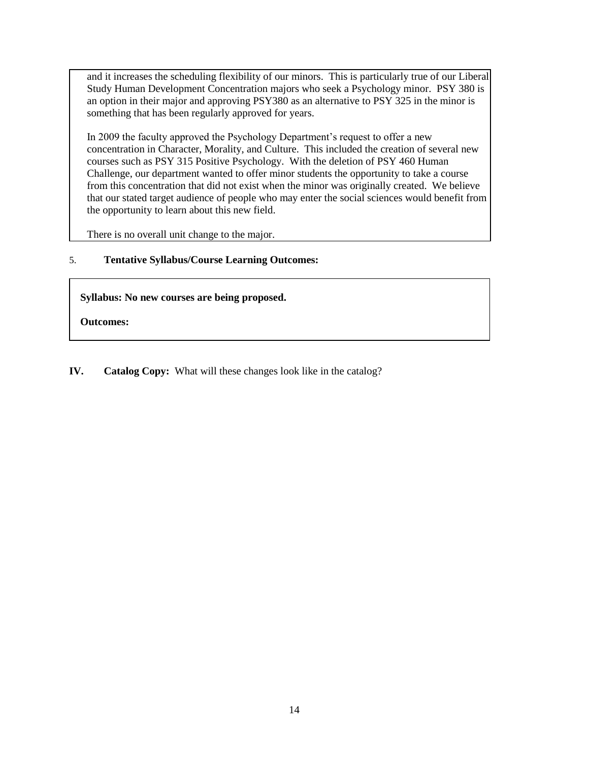and it increases the scheduling flexibility of our minors. This is particularly true of our Liberal Study Human Development Concentration majors who seek a Psychology minor. PSY 380 is an option in their major and approving PSY380 as an alternative to PSY 325 in the minor is something that has been regularly approved for years.

In 2009 the faculty approved the Psychology Department's request to offer a new concentration in Character, Morality, and Culture. This included the creation of several new courses such as PSY 315 Positive Psychology. With the deletion of PSY 460 Human Challenge, our department wanted to offer minor students the opportunity to take a course from this concentration that did not exist when the minor was originally created. We believe that our stated target audience of people who may enter the social sciences would benefit from the opportunity to learn about this new field.

There is no overall unit change to the major.

#### 5. **Tentative Syllabus/Course Learning Outcomes:**

**Syllabus: No new courses are being proposed.**

**Outcomes:**

**IV. Catalog Copy:** What will these changes look like in the catalog?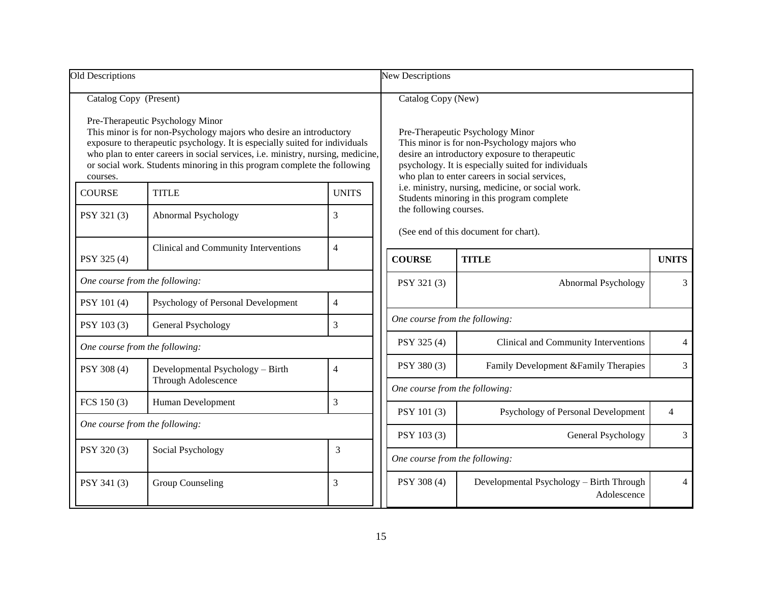| Old Descriptions                                                                                                                                                                                                                                                                                                                                                               |                                                         |                                                                                                                                                                                                                | <b>New Descriptions</b>                                                                                                                          |                                                         |                |  |
|--------------------------------------------------------------------------------------------------------------------------------------------------------------------------------------------------------------------------------------------------------------------------------------------------------------------------------------------------------------------------------|---------------------------------------------------------|----------------------------------------------------------------------------------------------------------------------------------------------------------------------------------------------------------------|--------------------------------------------------------------------------------------------------------------------------------------------------|---------------------------------------------------------|----------------|--|
| Catalog Copy (Present)<br>Pre-Therapeutic Psychology Minor<br>This minor is for non-Psychology majors who desire an introductory<br>exposure to therapeutic psychology. It is especially suited for individuals<br>who plan to enter careers in social services, i.e. ministry, nursing, medicine,<br>or social work. Students minoring in this program complete the following |                                                         | Catalog Copy (New)<br>Pre-Therapeutic Psychology Minor<br>This minor is for non-Psychology majors who<br>desire an introductory exposure to therapeutic<br>psychology. It is especially suited for individuals |                                                                                                                                                  |                                                         |                |  |
| courses.<br><b>COURSE</b>                                                                                                                                                                                                                                                                                                                                                      | <b>TITLE</b>                                            | <b>UNITS</b>                                                                                                                                                                                                   | who plan to enter careers in social services,<br>i.e. ministry, nursing, medicine, or social work.<br>Students minoring in this program complete |                                                         |                |  |
| PSY 321 (3)                                                                                                                                                                                                                                                                                                                                                                    | Abnormal Psychology                                     | 3                                                                                                                                                                                                              | the following courses.<br>(See end of this document for chart).                                                                                  |                                                         |                |  |
| PSY 325 (4)                                                                                                                                                                                                                                                                                                                                                                    | Clinical and Community Interventions                    | $\overline{4}$                                                                                                                                                                                                 | <b>COURSE</b>                                                                                                                                    | <b>TITLE</b>                                            | <b>UNITS</b>   |  |
| One course from the following:                                                                                                                                                                                                                                                                                                                                                 |                                                         | PSY 321 (3)                                                                                                                                                                                                    | Abnormal Psychology                                                                                                                              | 3                                                       |                |  |
| PSY 101 (4)                                                                                                                                                                                                                                                                                                                                                                    | Psychology of Personal Development                      | $\overline{4}$                                                                                                                                                                                                 |                                                                                                                                                  |                                                         |                |  |
| PSY 103 (3)                                                                                                                                                                                                                                                                                                                                                                    | General Psychology                                      | 3                                                                                                                                                                                                              | One course from the following:                                                                                                                   |                                                         |                |  |
| One course from the following:                                                                                                                                                                                                                                                                                                                                                 |                                                         |                                                                                                                                                                                                                | PSY 325 (4)                                                                                                                                      | Clinical and Community Interventions                    | $\overline{4}$ |  |
| PSY 308 (4)                                                                                                                                                                                                                                                                                                                                                                    | Developmental Psychology - Birth<br>Through Adolescence | $\overline{4}$                                                                                                                                                                                                 | PSY 380 (3)                                                                                                                                      | Family Development & Family Therapies                   | 3              |  |
|                                                                                                                                                                                                                                                                                                                                                                                |                                                         |                                                                                                                                                                                                                | One course from the following:                                                                                                                   |                                                         |                |  |
| FCS 150 (3)                                                                                                                                                                                                                                                                                                                                                                    | Human Development                                       | 3                                                                                                                                                                                                              | PSY 101 (3)                                                                                                                                      | Psychology of Personal Development                      | 4              |  |
| One course from the following:                                                                                                                                                                                                                                                                                                                                                 |                                                         |                                                                                                                                                                                                                | PSY 103 (3)                                                                                                                                      | General Psychology                                      | 3              |  |
| PSY 320 (3)                                                                                                                                                                                                                                                                                                                                                                    | Social Psychology                                       | 3                                                                                                                                                                                                              | One course from the following:                                                                                                                   |                                                         |                |  |
| PSY 341 (3)                                                                                                                                                                                                                                                                                                                                                                    | Group Counseling                                        | 3                                                                                                                                                                                                              | PSY 308 (4)                                                                                                                                      | Developmental Psychology - Birth Through<br>Adolescence |                |  |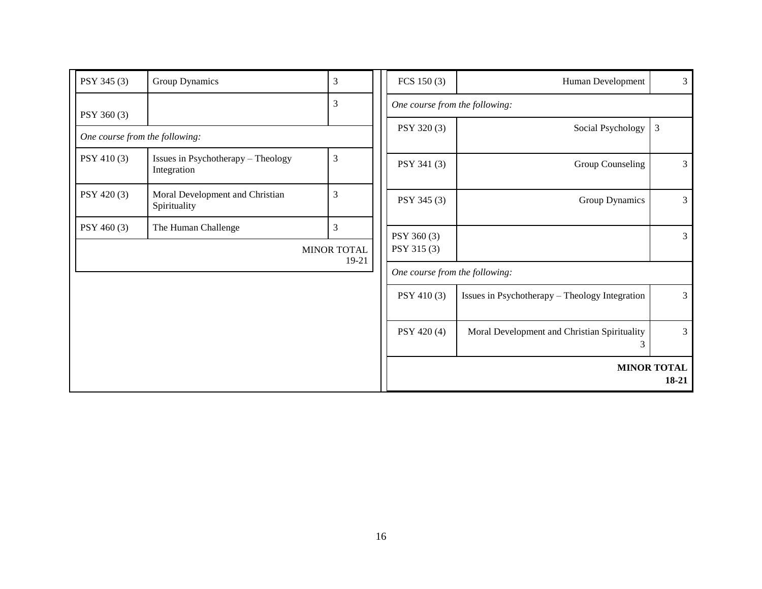| PSY 345 (3)                    | Group Dynamics                                    | 3                  | FCS $150(3)$                   | Human Development                                 | $\overline{3}$                |
|--------------------------------|---------------------------------------------------|--------------------|--------------------------------|---------------------------------------------------|-------------------------------|
| PSY 360 (3)                    |                                                   | $\overline{3}$     | One course from the following: |                                                   |                               |
| One course from the following: |                                                   |                    | PSY 320 (3)                    | Social Psychology                                 | 3                             |
| PSY 410 (3)                    | Issues in Psychotherapy - Theology<br>Integration | 3                  | PSY 341 (3)                    | Group Counseling                                  | $\mathfrak{Z}$                |
| PSY 420 (3)                    | Moral Development and Christian<br>Spirituality   | 3                  | PSY 345 (3)                    | Group Dynamics                                    | $\overline{3}$                |
| PSY 460 (3)                    | The Human Challenge                               | 3                  | PSY 360 (3)                    |                                                   | 3                             |
|                                |                                                   | <b>MINOR TOTAL</b> | PSY 315 (3)                    |                                                   |                               |
|                                |                                                   | 19-21              | One course from the following: |                                                   |                               |
|                                |                                                   |                    | PSY 410 (3)                    | Issues in Psychotherapy - Theology Integration    | 3                             |
|                                |                                                   |                    | PSY 420 (4)                    | Moral Development and Christian Spirituality<br>3 | $\overline{3}$                |
|                                |                                                   |                    |                                |                                                   | <b>MINOR TOTAL</b><br>$18-21$ |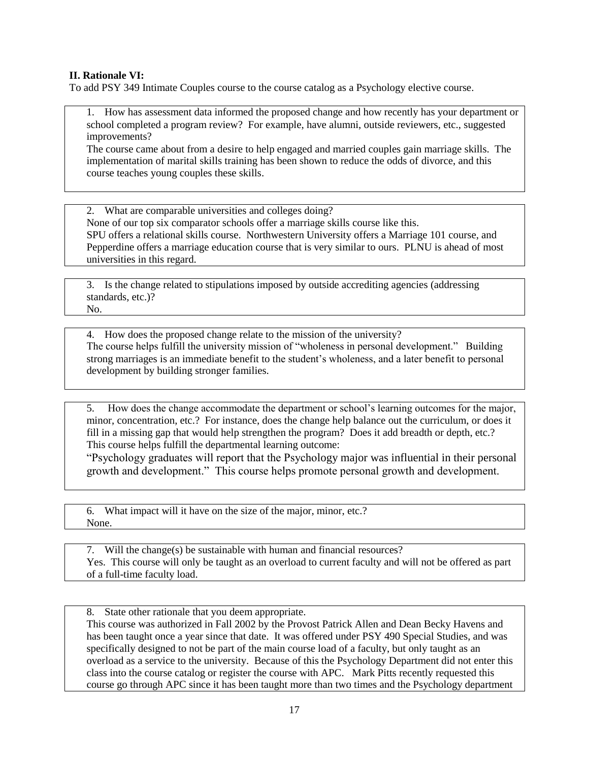#### **II. Rationale VI:**

To add PSY 349 Intimate Couples course to the course catalog as a Psychology elective course.

1. How has assessment data informed the proposed change and how recently has your department or school completed a program review? For example, have alumni, outside reviewers, etc., suggested improvements?

The course came about from a desire to help engaged and married couples gain marriage skills. The implementation of marital skills training has been shown to reduce the odds of divorce, and this course teaches young couples these skills.

2. What are comparable universities and colleges doing? None of our top six comparator schools offer a marriage skills course like this. SPU offers a relational skills course. Northwestern University offers a Marriage 101 course, and Pepperdine offers a marriage education course that is very similar to ours. PLNU is ahead of most universities in this regard.

3. Is the change related to stipulations imposed by outside accrediting agencies (addressing standards, etc.)? No.

4. How does the proposed change relate to the mission of the university? The course helps fulfill the university mission of "wholeness in personal development." Building strong marriages is an immediate benefit to the student's wholeness, and a later benefit to personal development by building stronger families.

5. How does the change accommodate the department or school's learning outcomes for the major, minor, concentration, etc.? For instance, does the change help balance out the curriculum, or does it fill in a missing gap that would help strengthen the program? Does it add breadth or depth, etc.? This course helps fulfill the departmental learning outcome:

―Psychology graduates will report that the Psychology major was influential in their personal growth and development." This course helps promote personal growth and development.

6. What impact will it have on the size of the major, minor, etc.? None.

7. Will the change(s) be sustainable with human and financial resources? Yes. This course will only be taught as an overload to current faculty and will not be offered as part of a full-time faculty load.

8. State other rationale that you deem appropriate.

This course was authorized in Fall 2002 by the Provost Patrick Allen and Dean Becky Havens and has been taught once a year since that date. It was offered under PSY 490 Special Studies, and was specifically designed to not be part of the main course load of a faculty, but only taught as an overload as a service to the university. Because of this the Psychology Department did not enter this class into the course catalog or register the course with APC. Mark Pitts recently requested this course go through APC since it has been taught more than two times and the Psychology department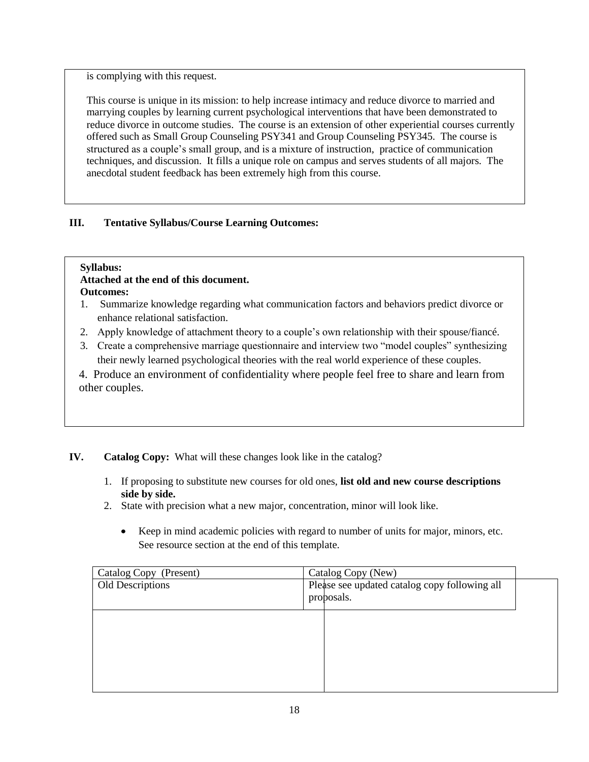is complying with this request.

This course is unique in its mission: to help increase intimacy and reduce divorce to married and marrying couples by learning current psychological interventions that have been demonstrated to reduce divorce in outcome studies. The course is an extension of other experiential courses currently offered such as Small Group Counseling PSY341 and Group Counseling PSY345. The course is structured as a couple's small group, and is a mixture of instruction, practice of communication techniques, and discussion. It fills a unique role on campus and serves students of all majors. The anecdotal student feedback has been extremely high from this course.

## **III. Tentative Syllabus/Course Learning Outcomes:**

## **Syllabus:**

# **Attached at the end of this document.**

**Outcomes:**

- 1. Summarize knowledge regarding what communication factors and behaviors predict divorce or enhance relational satisfaction.
- 2. Apply knowledge of attachment theory to a couple's own relationship with their spouse/fiancé.
- 3. Create a comprehensive marriage questionnaire and interview two "model couples" synthesizing their newly learned psychological theories with the real world experience of these couples.
- 4. Produce an environment of confidentiality where people feel free to share and learn from other couples.

## **IV. Catalog Copy:** What will these changes look like in the catalog?

- 1. If proposing to substitute new courses for old ones, **list old and new course descriptions side by side.**
- 2. State with precision what a new major, concentration, minor will look like.
	- $\bullet$ Keep in mind academic policies with regard to number of units for major, minors, etc. See resource section at the end of this template.

| Catalog Copy (Present) | Catalog Copy (New)                            |  |
|------------------------|-----------------------------------------------|--|
| Old Descriptions       | Please see updated catalog copy following all |  |
|                        | proposals.                                    |  |
|                        |                                               |  |
|                        |                                               |  |
|                        |                                               |  |
|                        |                                               |  |
|                        |                                               |  |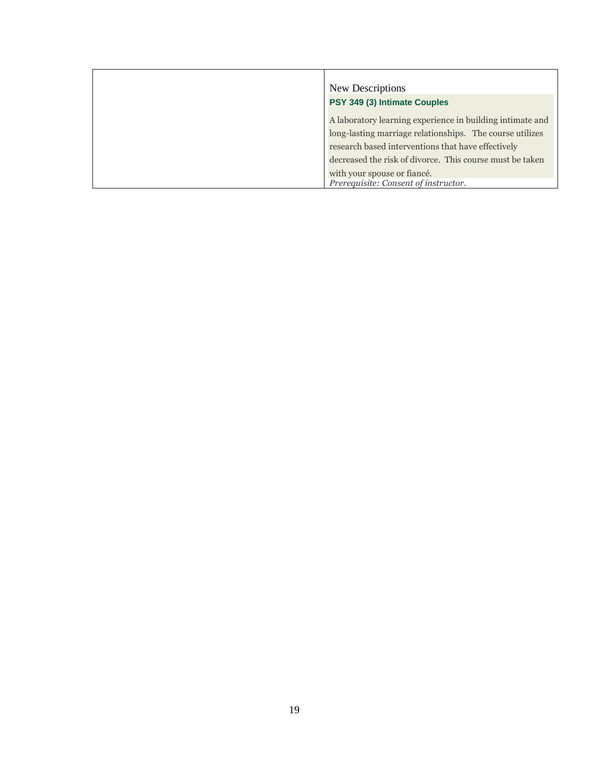| New Descriptions                                                                                                                                                                                                                        |
|-----------------------------------------------------------------------------------------------------------------------------------------------------------------------------------------------------------------------------------------|
| PSY 349 (3) Intimate Couples                                                                                                                                                                                                            |
| A laboratory learning experience in building intimate and<br>long-lasting marriage relationships. The course utilizes<br>research based interventions that have effectively<br>decreased the risk of divorce. This course must be taken |
| with your spouse or fiancé.<br>Prerequisite: Consent of instructor.                                                                                                                                                                     |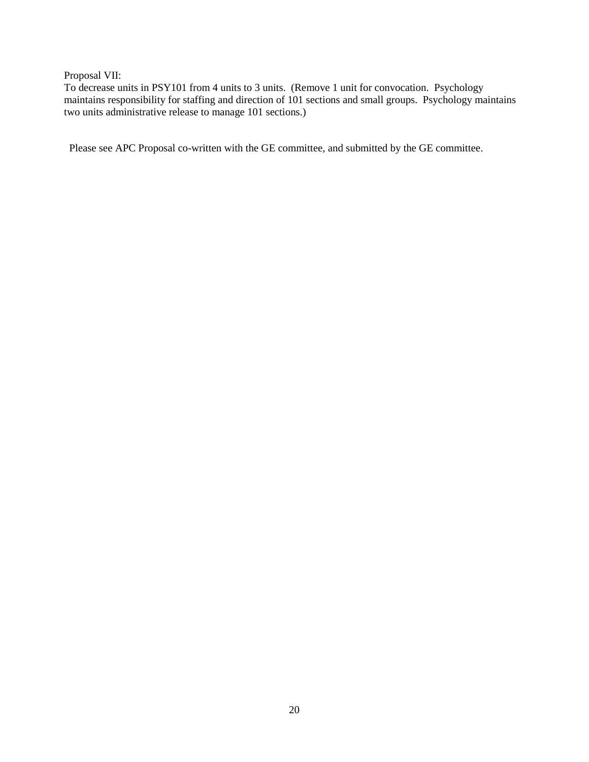Proposal VII:

To decrease units in PSY101 from 4 units to 3 units. (Remove 1 unit for convocation. Psychology maintains responsibility for staffing and direction of 101 sections and small groups. Psychology maintains two units administrative release to manage 101 sections.)

Please see APC Proposal co-written with the GE committee, and submitted by the GE committee.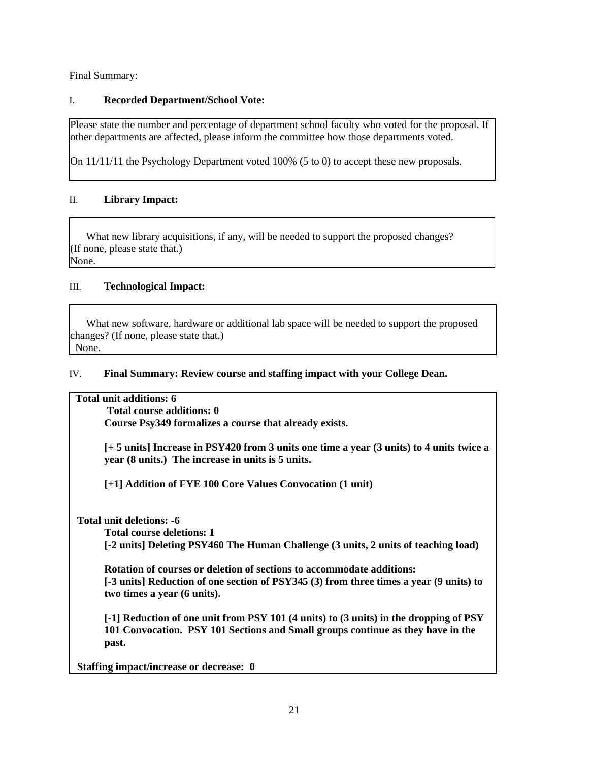Final Summary:

### I. **Recorded Department/School Vote:**

Please state the number and percentage of department school faculty who voted for the proposal. If other departments are affected, please inform the committee how those departments voted.

On 11/11/11 the Psychology Department voted 100% (5 to 0) to accept these new proposals.

### II. **Library Impact:**

What new library acquisitions, if any, will be needed to support the proposed changes? (If none, please state that.) None.

#### III. **Technological Impact:**

 What new software, hardware or additional lab space will be needed to support the proposed changes? (If none, please state that.) None.

#### IV. **Final Summary: Review course and staffing impact with your College Dean.**

#### **Total unit additions: 6**

**Total course additions: 0 Course Psy349 formalizes a course that already exists.**

**[+ 5 units] Increase in PSY420 from 3 units one time a year (3 units) to 4 units twice a year (8 units.) The increase in units is 5 units.**

**[+1] Addition of FYE 100 Core Values Convocation (1 unit)**

**Total unit deletions: -6**

**Total course deletions: 1**

**[-2 units] Deleting PSY460 The Human Challenge (3 units, 2 units of teaching load)**

**Rotation of courses or deletion of sections to accommodate additions: [-3 units] Reduction of one section of PSY345 (3) from three times a year (9 units) to two times a year (6 units).** 

**[-1] Reduction of one unit from PSY 101 (4 units) to (3 units) in the dropping of PSY 101 Convocation. PSY 101 Sections and Small groups continue as they have in the past.**

**Staffing impact/increase or decrease: 0**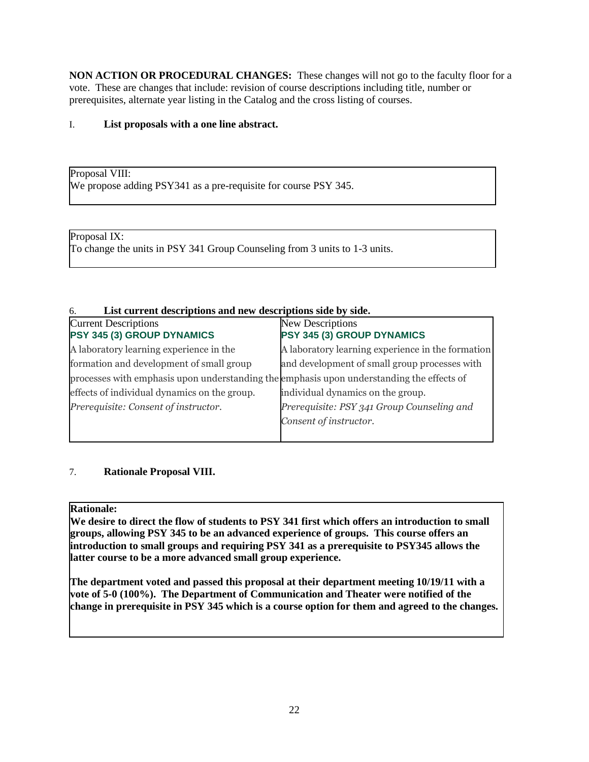**NON ACTION OR PROCEDURAL CHANGES:** These changes will not go to the faculty floor for a vote. These are changes that include: revision of course descriptions including title, number or prerequisites, alternate year listing in the Catalog and the cross listing of courses.

## I. **List proposals with a one line abstract.**

Proposal VIII: We propose adding PSY341 as a pre-requisite for course PSY 345.

Proposal IX: To change the units in PSY 341 Group Counseling from 3 units to 1-3 units.

### 6. **List current descriptions and new descriptions side by side.**

| <b>Current Descriptions</b><br>PSY 345 (3) GROUP DYNAMICS                                 | New Descriptions<br>PSY 345 (3) GROUP DYNAMICS    |
|-------------------------------------------------------------------------------------------|---------------------------------------------------|
| A laboratory learning experience in the                                                   | A laboratory learning experience in the formation |
| formation and development of small group                                                  | and development of small group processes with     |
| processes with emphasis upon understanding the emphasis upon understanding the effects of |                                                   |
| effects of individual dynamics on the group.                                              | individual dynamics on the group.                 |
| Prerequisite: Consent of instructor.                                                      | Prerequisite: PSY 341 Group Counseling and        |
|                                                                                           | Consent of instructor.                            |
|                                                                                           |                                                   |

### 7. **Rationale Proposal VIII.**

### **Rationale:**

**We desire to direct the flow of students to PSY 341 first which offers an introduction to small groups, allowing PSY 345 to be an advanced experience of groups. This course offers an introduction to small groups and requiring PSY 341 as a prerequisite to PSY345 allows the latter course to be a more advanced small group experience.**

**The department voted and passed this proposal at their department meeting 10/19/11 with a vote of 5-0 (100%). The Department of Communication and Theater were notified of the change in prerequisite in PSY 345 which is a course option for them and agreed to the changes.**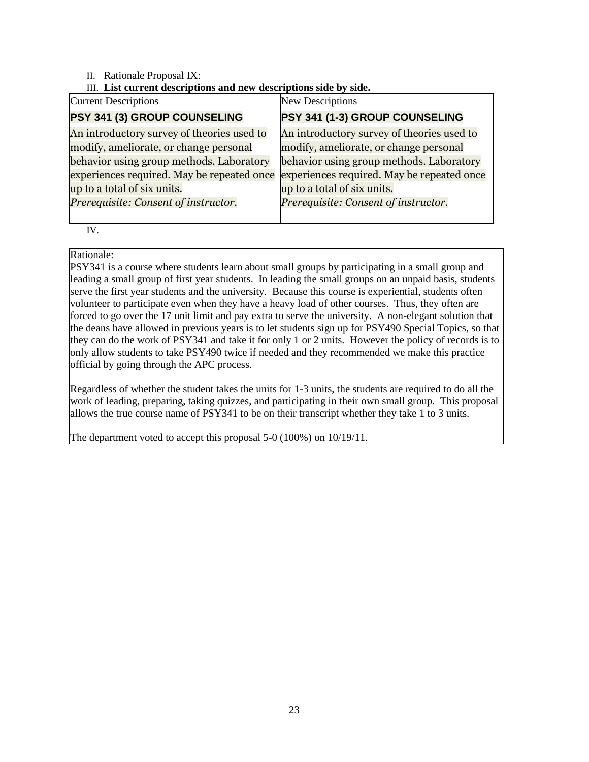### II. Rationale Proposal IX:

### III. **List current descriptions and new descriptions side by side.**

| <b>Current Descriptions</b>                | <b>New Descriptions</b>                    |
|--------------------------------------------|--------------------------------------------|
| PSY 341 (3) GROUP COUNSELING               | PSY 341 (1-3) GROUP COUNSELING             |
| An introductory survey of theories used to | An introductory survey of theories used to |
| modify, ameliorate, or change personal     | modify, ameliorate, or change personal     |
| behavior using group methods. Laboratory   | behavior using group methods. Laboratory   |
| experiences required. May be repeated once | experiences required. May be repeated once |
| up to a total of six units.                | up to a total of six units.                |
| Prerequisite: Consent of instructor.       | Prerequisite: Consent of instructor.       |
|                                            |                                            |

IV.

### Rationale:

PSY341 is a course where students learn about small groups by participating in a small group and leading a small group of first year students. In leading the small groups on an unpaid basis, students serve the first year students and the university. Because this course is experiential, students often volunteer to participate even when they have a heavy load of other courses. Thus, they often are forced to go over the 17 unit limit and pay extra to serve the university. A non-elegant solution that the deans have allowed in previous years is to let students sign up for PSY490 Special Topics, so that they can do the work of PSY341 and take it for only 1 or 2 units. However the policy of records is to only allow students to take PSY490 twice if needed and they recommended we make this practice official by going through the APC process.

Regardless of whether the student takes the units for 1-3 units, the students are required to do all the work of leading, preparing, taking quizzes, and participating in their own small group. This proposal allows the true course name of PSY341 to be on their transcript whether they take 1 to 3 units.

The department voted to accept this proposal 5-0 (100%) on 10/19/11.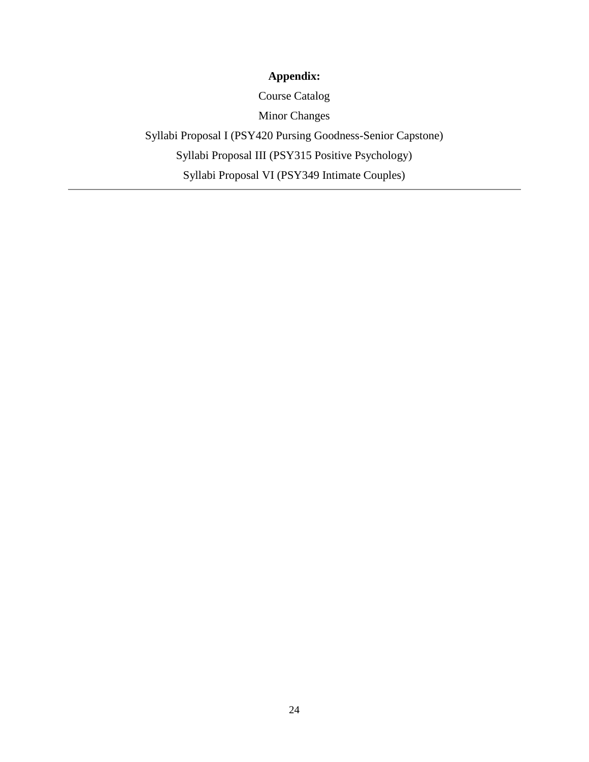# **Appendix:**

Course Catalog

Minor Changes

Syllabi Proposal I (PSY420 Pursing Goodness-Senior Capstone) Syllabi Proposal III (PSY315 Positive Psychology) Syllabi Proposal VI (PSY349 Intimate Couples)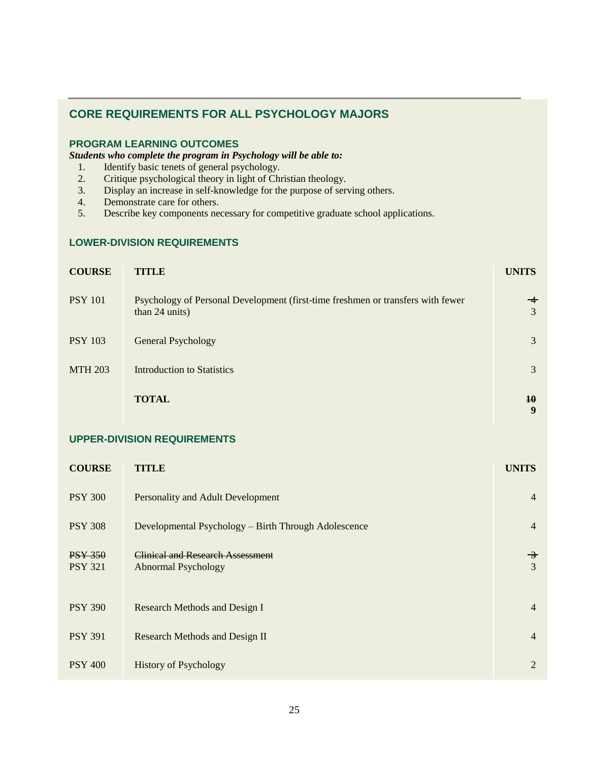## **CORE REQUIREMENTS FOR ALL PSYCHOLOGY MAJORS**

### **PROGRAM LEARNING OUTCOMES**

*Students who complete the program in Psychology will be able to:*

- 1. Identify basic tenets of general psychology.
- 2. Critique psychological theory in light of Christian theology.
- 3. Display an increase in self-knowledge for the purpose of serving others.
- 4. Demonstrate care for others.
- 5. Describe key components necessary for competitive graduate school applications.

#### **LOWER-DIVISION REQUIREMENTS**

| <b>COURSE</b>  | <b>TITLE</b>                                                                                      | <b>UNITS</b>     |
|----------------|---------------------------------------------------------------------------------------------------|------------------|
| <b>PSY 101</b> | Psychology of Personal Development (first-time freshmen or transfers with fewer<br>than 24 units) | $-\epsilon$<br>3 |
| <b>PSY 103</b> | <b>General Psychology</b>                                                                         | 3                |
| <b>MTH 203</b> | <b>Introduction to Statistics</b>                                                                 | 3                |
|                | <b>TOTAL</b>                                                                                      | 10<br>9          |

#### **UPPER-DIVISION REQUIREMENTS**

| <b>COURSE</b>                    | TITLE                                                                 | <b>UNITS</b>       |
|----------------------------------|-----------------------------------------------------------------------|--------------------|
| <b>PSY 300</b>                   | Personality and Adult Development                                     | $\overline{4}$     |
| <b>PSY 308</b>                   | Developmental Psychology – Birth Through Adolescence                  | $\overline{4}$     |
| <b>PSY 350</b><br><b>PSY 321</b> | <b>Clinical and Research Assessment</b><br><b>Abnormal Psychology</b> | $\rightarrow$<br>3 |
| <b>PSY 390</b>                   | Research Methods and Design I                                         | $\overline{4}$     |
| <b>PSY 391</b>                   | Research Methods and Design II                                        | $\overline{4}$     |
| <b>PSY 400</b>                   | <b>History of Psychology</b>                                          | 2                  |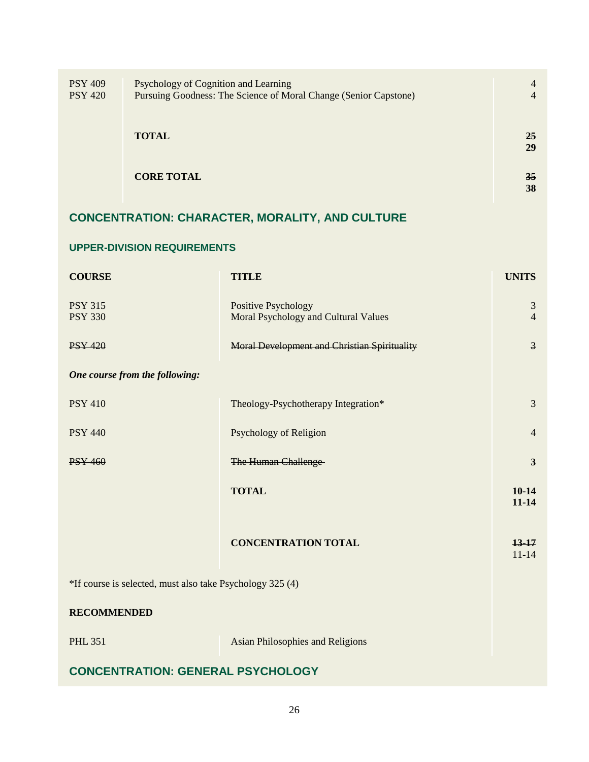| <b>PSY 409</b> | Psychology of Cognition and Learning                             | $\overline{4}$  |
|----------------|------------------------------------------------------------------|-----------------|
| <b>PSY 420</b> | Pursuing Goodness: The Science of Moral Change (Senior Capstone) | $\overline{4}$  |
|                |                                                                  |                 |
|                |                                                                  |                 |
|                | <b>TOTAL</b>                                                     | 25              |
|                |                                                                  | 29              |
|                |                                                                  |                 |
|                | <b>CORE TOTAL</b>                                                | 35 <sub>1</sub> |
|                |                                                                  | 38              |
|                |                                                                  |                 |

# **CONCENTRATION: CHARACTER, MORALITY, AND CULTURE**

## **UPPER-DIVISION REQUIREMENTS**

| <b>COURSE</b>                                             | <b>TITLE</b>                                                       | <b>UNITS</b>            |
|-----------------------------------------------------------|--------------------------------------------------------------------|-------------------------|
| <b>PSY 315</b><br><b>PSY 330</b>                          | <b>Positive Psychology</b><br>Moral Psychology and Cultural Values | 3<br>$\overline{4}$     |
| <b>PSY 420</b>                                            | Moral Development and Christian Spirituality                       | $\overline{3}$          |
| One course from the following:                            |                                                                    |                         |
| <b>PSY 410</b>                                            | Theology-Psychotherapy Integration*                                | 3                       |
| <b>PSY 440</b>                                            | Psychology of Religion                                             | $\overline{4}$          |
| <b>PSY 460</b>                                            | <b>The Human Challenge</b>                                         | $\overline{\mathbf{3}}$ |
|                                                           | <b>TOTAL</b>                                                       | $10-14$<br>$11 - 14$    |
|                                                           | <b>CONCENTRATION TOTAL</b>                                         | $13-17$<br>$11 - 14$    |
| *If course is selected, must also take Psychology 325 (4) |                                                                    |                         |
| <b>RECOMMENDED</b>                                        |                                                                    |                         |
| <b>PHL 351</b>                                            | <b>Asian Philosophies and Religions</b>                            |                         |
| <b>CONCENTRATION: GENERAL PSYCHOLOGY</b>                  |                                                                    |                         |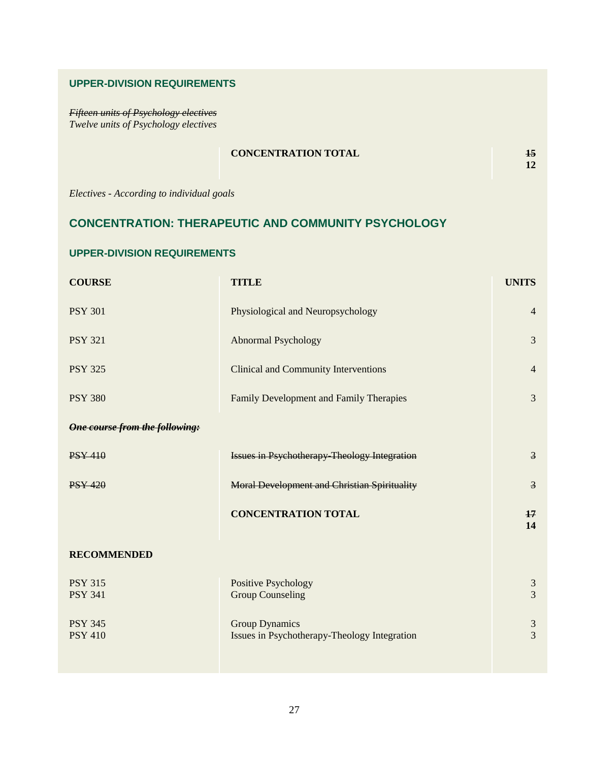#### **UPPER-DIVISION REQUIREMENTS**

*Fifteen units of Psychology electives Twelve units of Psychology electives*

## **CONCENTRATION TOTAL 15**

**12**

*Electives - According to individual goals*

## **CONCENTRATION: THERAPEUTIC AND COMMUNITY PSYCHOLOGY**

#### **UPPER-DIVISION REQUIREMENTS**

| <b>COURSE</b>                         | <b>TITLE</b>                                                          | <b>UNITS</b>                     |
|---------------------------------------|-----------------------------------------------------------------------|----------------------------------|
| <b>PSY 301</b>                        | Physiological and Neuropsychology                                     | $\overline{4}$                   |
| <b>PSY 321</b>                        | <b>Abnormal Psychology</b>                                            | $\overline{3}$                   |
| <b>PSY 325</b>                        | <b>Clinical and Community Interventions</b>                           | $\overline{4}$                   |
| <b>PSY 380</b>                        | Family Development and Family Therapies                               | 3                                |
| <b>One course from the following:</b> |                                                                       |                                  |
| <b>PSY 410</b>                        | <b>Issues in Psychotherapy-Theology Integration</b>                   | $\overline{3}$                   |
| <b>PSY 420</b>                        | <b>Moral Development and Christian Spirituality</b>                   | $\overline{3}$                   |
|                                       | <b>CONCENTRATION TOTAL</b>                                            | 17<br>14                         |
| <b>RECOMMENDED</b>                    |                                                                       |                                  |
| <b>PSY 315</b><br><b>PSY 341</b>      | <b>Positive Psychology</b><br><b>Group Counseling</b>                 | $\mathfrak{Z}$<br>$\overline{3}$ |
| <b>PSY 345</b><br><b>PSY 410</b>      | <b>Group Dynamics</b><br>Issues in Psychotherapy-Theology Integration | $\mathfrak{Z}$<br>$\overline{3}$ |
|                                       |                                                                       |                                  |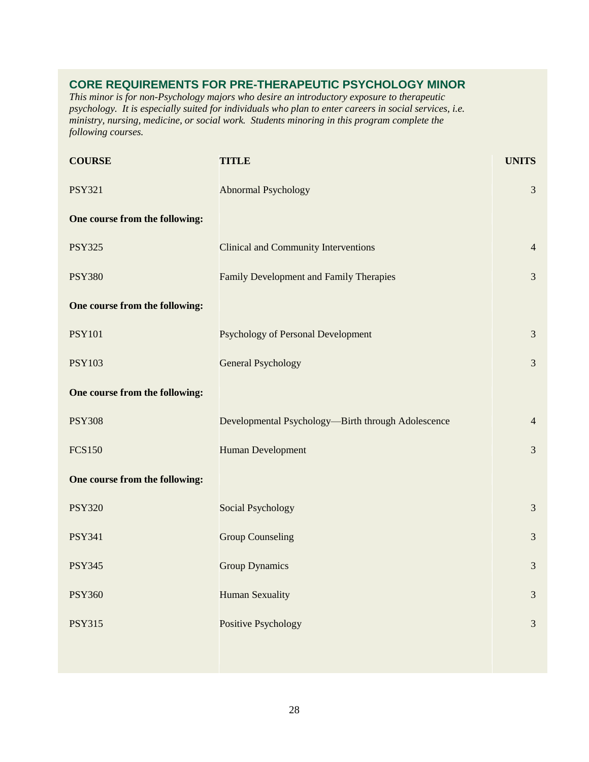## **CORE REQUIREMENTS FOR PRE-THERAPEUTIC PSYCHOLOGY MINOR**

*This minor is for non-Psychology majors who desire an introductory exposure to therapeutic psychology. It is especially suited for individuals who plan to enter careers in social services, i.e. ministry, nursing, medicine, or social work. Students minoring in this program complete the following courses.*

| <b>COURSE</b>                  | <b>TITLE</b>                                       | <b>UNITS</b>   |
|--------------------------------|----------------------------------------------------|----------------|
| <b>PSY321</b>                  | <b>Abnormal Psychology</b>                         | $\mathfrak{Z}$ |
| One course from the following: |                                                    |                |
| <b>PSY325</b>                  | <b>Clinical and Community Interventions</b>        | $\overline{4}$ |
| <b>PSY380</b>                  | Family Development and Family Therapies            | 3              |
| One course from the following: |                                                    |                |
| <b>PSY101</b>                  | <b>Psychology of Personal Development</b>          | $\mathfrak{Z}$ |
| <b>PSY103</b>                  | <b>General Psychology</b>                          | $\mathfrak{Z}$ |
| One course from the following: |                                                    |                |
| <b>PSY308</b>                  | Developmental Psychology-Birth through Adolescence | $\overline{4}$ |
| <b>FCS150</b>                  | <b>Human Development</b>                           | 3              |
| One course from the following: |                                                    |                |
| <b>PSY320</b>                  | <b>Social Psychology</b>                           | $\mathfrak{Z}$ |
| <b>PSY341</b>                  | <b>Group Counseling</b>                            | 3              |
| <b>PSY345</b>                  | <b>Group Dynamics</b>                              | 3              |
| <b>PSY360</b>                  | <b>Human Sexuality</b>                             | $\mathfrak{Z}$ |
| <b>PSY315</b>                  | <b>Positive Psychology</b>                         | $\mathfrak{Z}$ |
|                                |                                                    |                |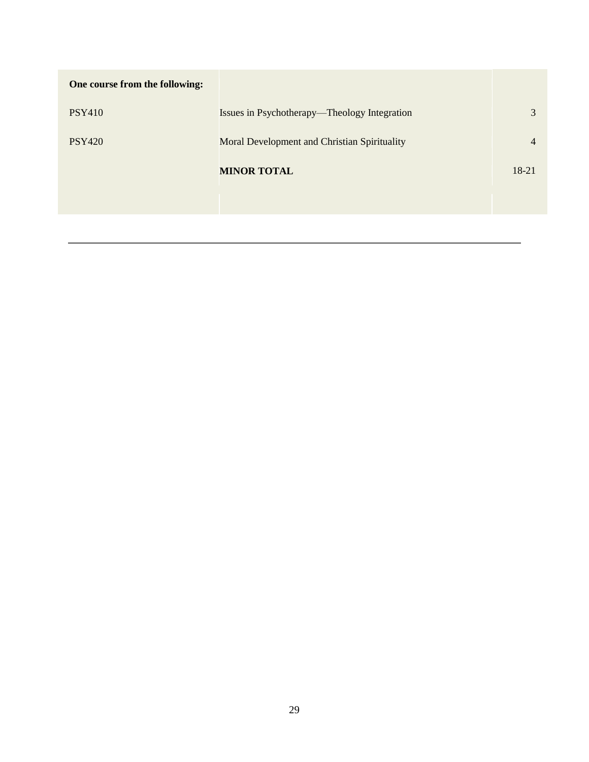| One course from the following: |                                              |       |
|--------------------------------|----------------------------------------------|-------|
| <b>PSY410</b>                  | Issues in Psychotherapy—Theology Integration | 3     |
| <b>PSY420</b>                  | Moral Development and Christian Spirituality | 4     |
|                                | <b>MINOR TOTAL</b>                           | 18-21 |
|                                |                                              |       |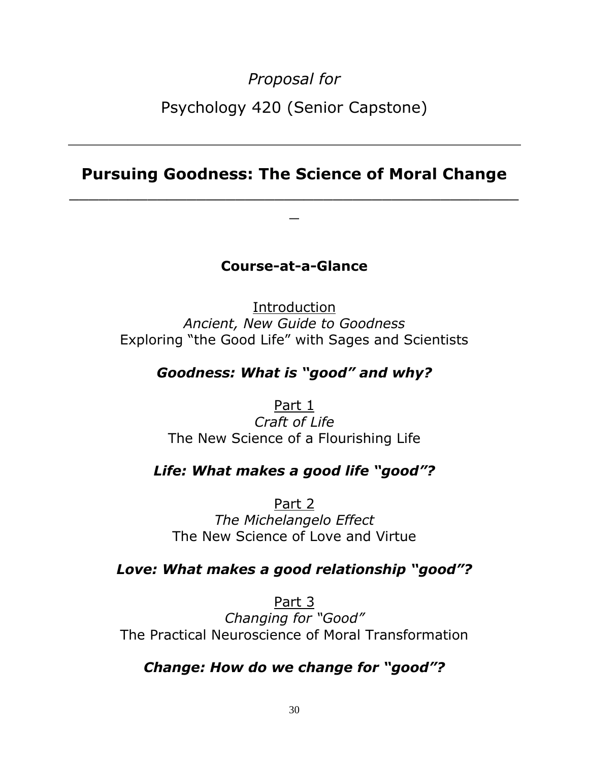*Proposal for* Psychology 420 (Senior Capstone)

# **Pursuing Goodness: The Science of Moral Change**

 $\_$  . The contribution of the contribution of  $\mathcal{L}_\mathcal{A}$  ,  $\mathcal{L}_\mathcal{A}$  ,  $\mathcal{L}_\mathcal{A}$  ,  $\mathcal{L}_\mathcal{A}$  ,  $\mathcal{L}_\mathcal{A}$  ,  $\mathcal{L}_\mathcal{A}$  ,  $\mathcal{L}_\mathcal{A}$  ,  $\mathcal{L}_\mathcal{A}$  ,  $\mathcal{L}_\mathcal{A}$  ,  $\mathcal{L}_\mathcal{A}$  ,  $\mathcal{$  $\overline{\phantom{0}}$ 

# **Course-at-a-Glance**

Introduction *Ancient, New Guide to Goodness* Exploring "the Good Life" with Sages and Scientists

# *Goodness: What is "good" and why?*

Part 1 *Craft of Life* The New Science of a Flourishing Life

# *Life: What makes a good life "good"?*

Part 2 *The Michelangelo Effect* The New Science of Love and Virtue

# *Love: What makes a good relationship "good"?*

Part 3 *Changing for "Good"* The Practical Neuroscience of Moral Transformation

# *Change: How do we change for "good"?*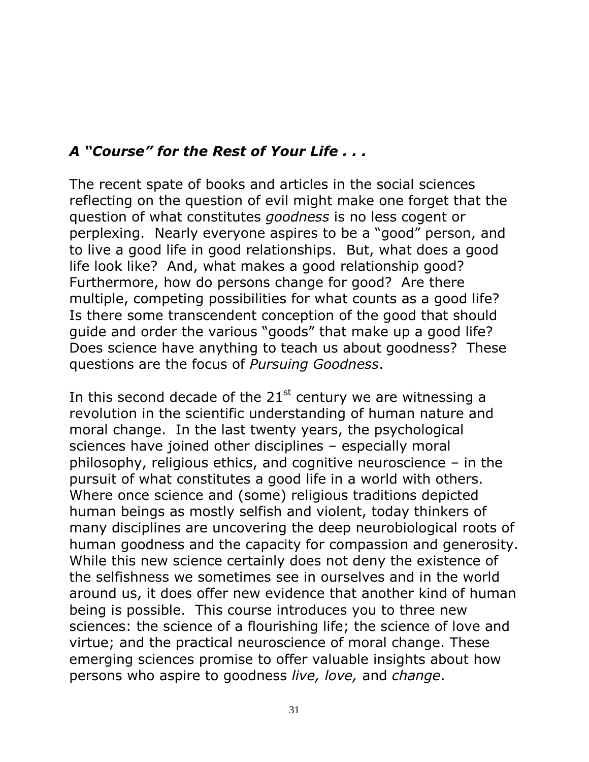# *A "Course" for the Rest of Your Life . . .*

The recent spate of books and articles in the social sciences reflecting on the question of evil might make one forget that the question of what constitutes *goodness* is no less cogent or perplexing. Nearly everyone aspires to be a "good" person, and to live a good life in good relationships. But, what does a good life look like? And, what makes a good relationship good? Furthermore, how do persons change for good? Are there multiple, competing possibilities for what counts as a good life? Is there some transcendent conception of the good that should guide and order the various "goods" that make up a good life? Does science have anything to teach us about goodness? These questions are the focus of *Pursuing Goodness*.

In this second decade of the  $21<sup>st</sup>$  century we are witnessing a revolution in the scientific understanding of human nature and moral change. In the last twenty years, the psychological sciences have joined other disciplines – especially moral philosophy, religious ethics, and cognitive neuroscience – in the pursuit of what constitutes a good life in a world with others. Where once science and (some) religious traditions depicted human beings as mostly selfish and violent, today thinkers of many disciplines are uncovering the deep neurobiological roots of human goodness and the capacity for compassion and generosity. While this new science certainly does not deny the existence of the selfishness we sometimes see in ourselves and in the world around us, it does offer new evidence that another kind of human being is possible. This course introduces you to three new sciences: the science of a flourishing life; the science of love and virtue; and the practical neuroscience of moral change. These emerging sciences promise to offer valuable insights about how persons who aspire to goodness *live, love,* and *change*.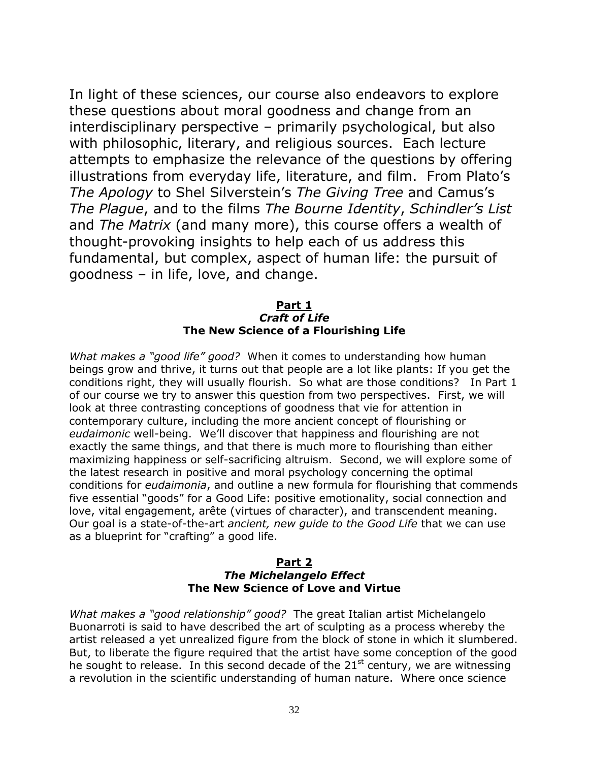In light of these sciences, our course also endeavors to explore these questions about moral goodness and change from an interdisciplinary perspective – primarily psychological, but also with philosophic, literary, and religious sources. Each lecture attempts to emphasize the relevance of the questions by offering illustrations from everyday life, literature, and film. From Plato's *The Apology* to Shel Silverstein's *The Giving Tree* and Camus's *The Plague*, and to the films *The Bourne Identity*, *Schindler's List* and *The Matrix* (and many more), this course offers a wealth of thought-provoking insights to help each of us address this fundamental, but complex, aspect of human life: the pursuit of goodness – in life, love, and change.

## **Part 1** *Craft of Life* **The New Science of a Flourishing Life**

*What makes a "good life" good?* When it comes to understanding how human beings grow and thrive, it turns out that people are a lot like plants: If you get the conditions right, they will usually flourish. So what are those conditions? In Part 1 of our course we try to answer this question from two perspectives. First, we will look at three contrasting conceptions of goodness that vie for attention in contemporary culture, including the more ancient concept of flourishing or *eudaimonic* well-being. We'll discover that happiness and flourishing are not exactly the same things, and that there is much more to flourishing than either maximizing happiness or self-sacrificing altruism. Second, we will explore some of the latest research in positive and moral psychology concerning the optimal conditions for *eudaimonia*, and outline a new formula for flourishing that commends five essential "goods" for a Good Life: positive emotionality, social connection and love, vital engagement, arête (virtues of character), and transcendent meaning. Our goal is a state-of-the-art *ancient, new guide to the Good Life* that we can use as a blueprint for "crafting" a good life.

#### **Part 2** *The Michelangelo Effect* **The New Science of Love and Virtue**

*What makes a "good relationship" good?* The great Italian artist Michelangelo Buonarroti is said to have described the art of sculpting as a process whereby the artist released a yet unrealized figure from the block of stone in which it slumbered. But, to liberate the figure required that the artist have some conception of the good he sought to release. In this second decade of the  $21<sup>st</sup>$  century, we are witnessing a revolution in the scientific understanding of human nature. Where once science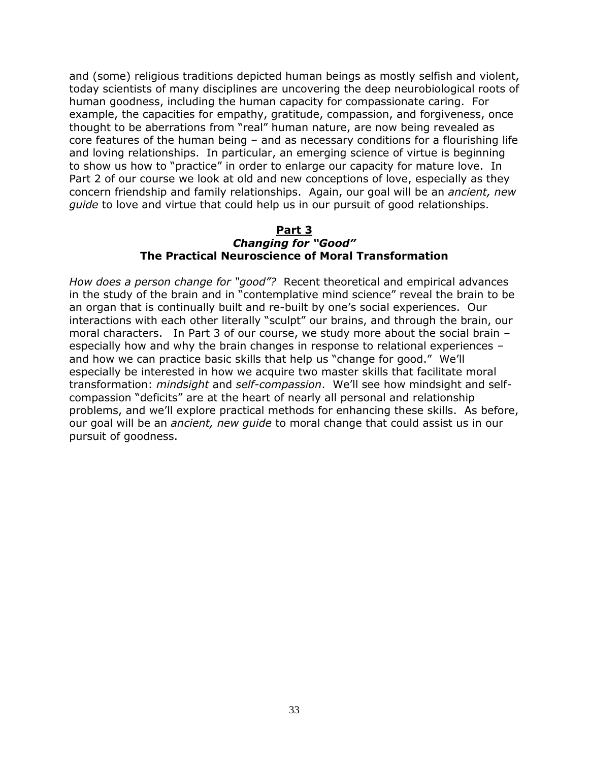and (some) religious traditions depicted human beings as mostly selfish and violent, today scientists of many disciplines are uncovering the deep neurobiological roots of human goodness, including the human capacity for compassionate caring. For example, the capacities for empathy, gratitude, compassion, and forgiveness, once thought to be aberrations from "real" human nature, are now being revealed as core features of the human being  $-$  and as necessary conditions for a flourishing life and loving relationships. In particular, an emerging science of virtue is beginning to show us how to "practice" in order to enlarge our capacity for mature love. In Part 2 of our course we look at old and new conceptions of love, especially as they concern friendship and family relationships. Again, our goal will be an *ancient, new guide* to love and virtue that could help us in our pursuit of good relationships.

### **Part 3** *Changing for "Good"* **The Practical Neuroscience of Moral Transformation**

*How does a person change for "good"?* Recent theoretical and empirical advances in the study of the brain and in "contemplative mind science" reveal the brain to be an organ that is continually built and re-built by one's social experiences. Our interactions with each other literally "sculpt" our brains, and through the brain, our moral characters.In Part 3 of our course, we study more about the social brain – especially how and why the brain changes in response to relational experiences – and how we can practice basic skills that help us "change for good." We'll especially be interested in how we acquire two master skills that facilitate moral transformation: *mindsight* and *self-compassion*. We'll see how mindsight and selfcompassion "deficits" are at the heart of nearly all personal and relationship problems, and we'll explore practical methods for enhancing these skills. As before, our goal will be an *ancient, new guide* to moral change that could assist us in our pursuit of goodness.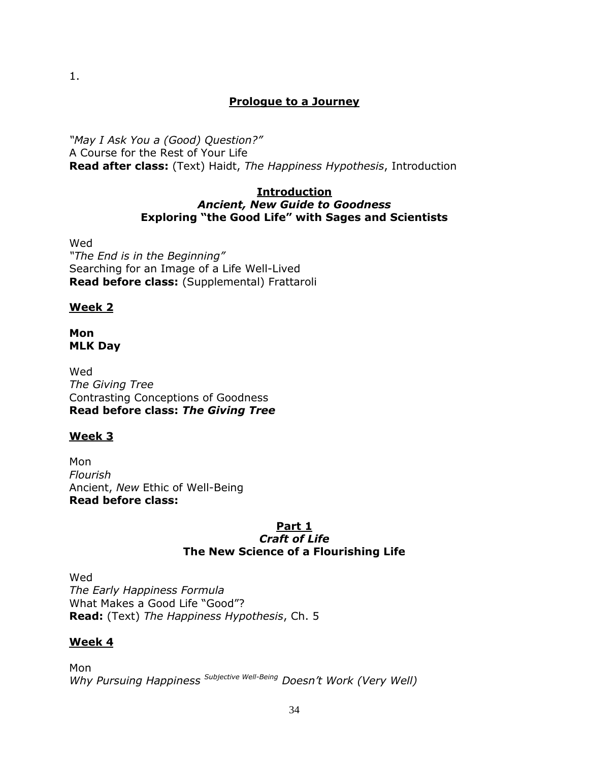## **Prologue to a Journey**

*"May I Ask You a (Good) Question?"* A Course for the Rest of Your Life **Read after class:** (Text) Haidt, *The Happiness Hypothesis*, Introduction

### **Introduction** *Ancient, New Guide to Goodness* **Exploring "the Good Life" with Sages and Scientists**

Wed *"The End is in the Beginning"* Searching for an Image of a Life Well-Lived **Read before class:** (Supplemental) Frattaroli

## **Week 2**

## **Mon MLK Day**

Wed *The Giving Tree* Contrasting Conceptions of Goodness **Read before class:** *The Giving Tree*

# **Week 3**

Mon *Flourish* Ancient, *New* Ethic of Well-Being **Read before class:** 

### **Part 1** *Craft of Life* **The New Science of a Flourishing Life**

Wed *The Early Happiness Formula* What Makes a Good Life "Good"? **Read:** (Text) *The Happiness Hypothesis*, Ch. 5

# **Week 4**

Mon *Why Pursuing Happiness Subjective Well-Being Doesn't Work (Very Well)*

1.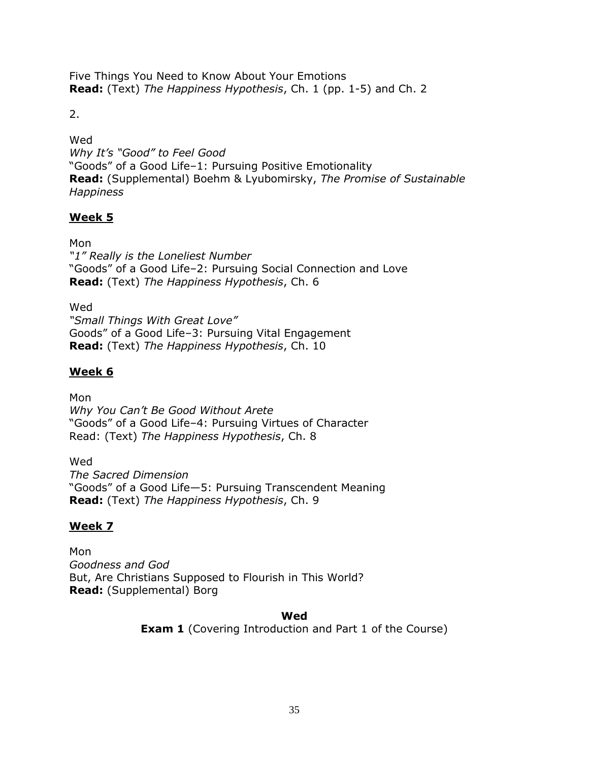Five Things You Need to Know About Your Emotions **Read:** (Text) *The Happiness Hypothesis*, Ch. 1 (pp. 1-5) and Ch. 2

2.

Wed *Why It's "Good" to Feel Good* "Goods" of a Good Life-1: Pursuing Positive Emotionality **Read:** (Supplemental) Boehm & Lyubomirsky, *The Promise of Sustainable Happiness*

# **Week 5**

Mon *"1" Really is the Loneliest Number* "Goods" of a Good Life-2: Pursuing Social Connection and Love **Read:** (Text) *The Happiness Hypothesis*, Ch. 6

Wed *"Small Things With Great Love"* Goods" of a Good Life-3: Pursuing Vital Engagement **Read:** (Text) *The Happiness Hypothesis*, Ch. 10

# **Week 6**

Mon *Why You Can't Be Good Without Arete* "Goods" of a Good Life-4: Pursuing Virtues of Character Read: (Text) *The Happiness Hypothesis*, Ch. 8

Wed *The Sacred Dimension* ―Goods‖ of a Good Life—5: Pursuing Transcendent Meaning **Read:** (Text) *The Happiness Hypothesis*, Ch. 9

# **Week 7**

Mon *Goodness and God*  But, Are Christians Supposed to Flourish in This World? **Read:** (Supplemental) Borg

## **Wed**

**Exam 1** (Covering Introduction and Part 1 of the Course)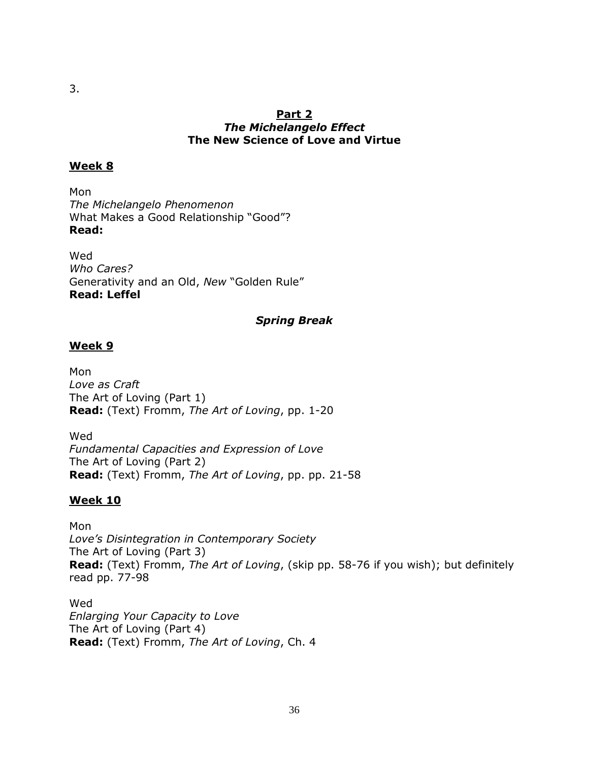# **Week 8**

Mon *The Michelangelo Phenomenon* What Makes a Good Relationship "Good"? **Read:**

Wed *Who Cares?* Generativity and an Old, New "Golden Rule" **Read: Leffel**

## *Spring Break*

## **Week 9**

Mon *Love as Craft* The Art of Loving (Part 1) **Read:** (Text) Fromm, *The Art of Loving*, pp. 1-20

Wed *Fundamental Capacities and Expression of Love* The Art of Loving (Part 2) **Read:** (Text) Fromm, *The Art of Loving*, pp. pp. 21-58

# **Week 10**

Mon *Love's Disintegration in Contemporary Society* The Art of Loving (Part 3) **Read:** (Text) Fromm, *The Art of Loving*, (skip pp. 58-76 if you wish); but definitely read pp. 77-98

Wed *Enlarging Your Capacity to Love* The Art of Loving (Part 4) **Read:** (Text) Fromm, *The Art of Loving*, Ch. 4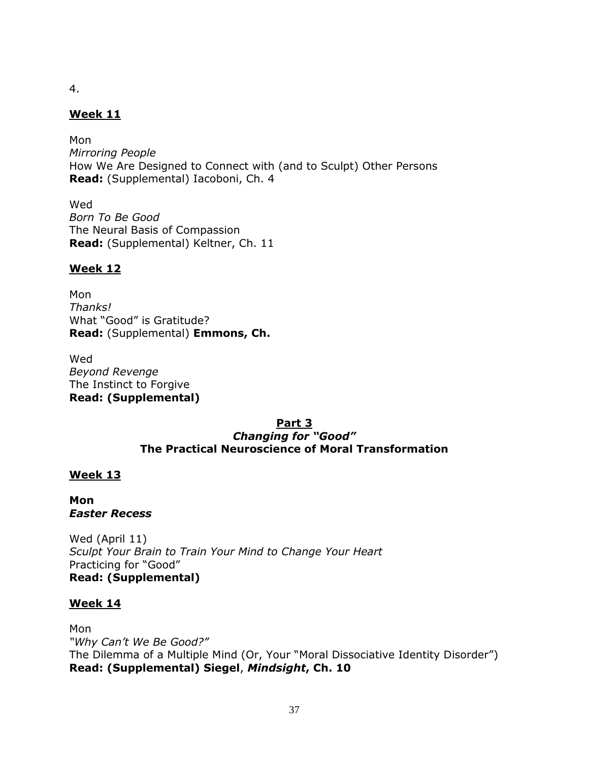4.

# **Week 11**

Mon *Mirroring People* How We Are Designed to Connect with (and to Sculpt) Other Persons **Read:** (Supplemental) Iacoboni, Ch. 4

Wed *Born To Be Good* The Neural Basis of Compassion **Read:** (Supplemental) Keltner, Ch. 11

# **Week 12**

Mon *Thanks!* What "Good" is Gratitude? **Read:** (Supplemental) **Emmons, Ch.**

Wed *Beyond Revenge* The Instinct to Forgive **Read: (Supplemental)** 

### **Part 3** *Changing for "Good"* **The Practical Neuroscience of Moral Transformation**

# **Week 13**

**Mon** *Easter Recess*

Wed (April 11) *Sculpt Your Brain to Train Your Mind to Change Your Heart* Practicing for "Good" **Read: (Supplemental)** 

## **Week 14**

Mon *"Why Can't We Be Good?"* The Dilemma of a Multiple Mind (Or, Your "Moral Dissociative Identity Disorder") **Read: (Supplemental) Siegel**, *Mindsight***, Ch. 10**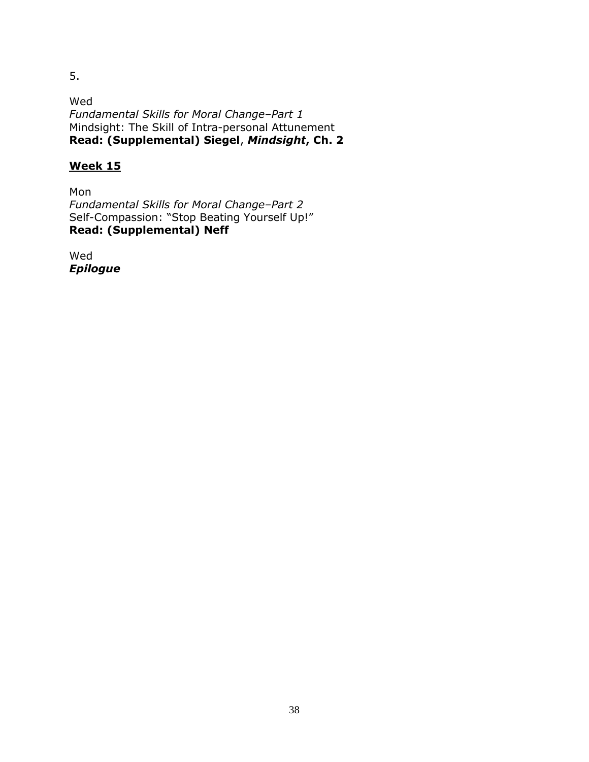5.

Wed *Fundamental Skills for Moral Change–Part 1* Mindsight: The Skill of Intra-personal Attunement **Read: (Supplemental) Siegel**, *Mindsight***, Ch. 2**

# **Week 15**

Mon *Fundamental Skills for Moral Change–Part 2* Self-Compassion: "Stop Beating Yourself Up!" **Read: (Supplemental) Neff**

Wed *Epilogue*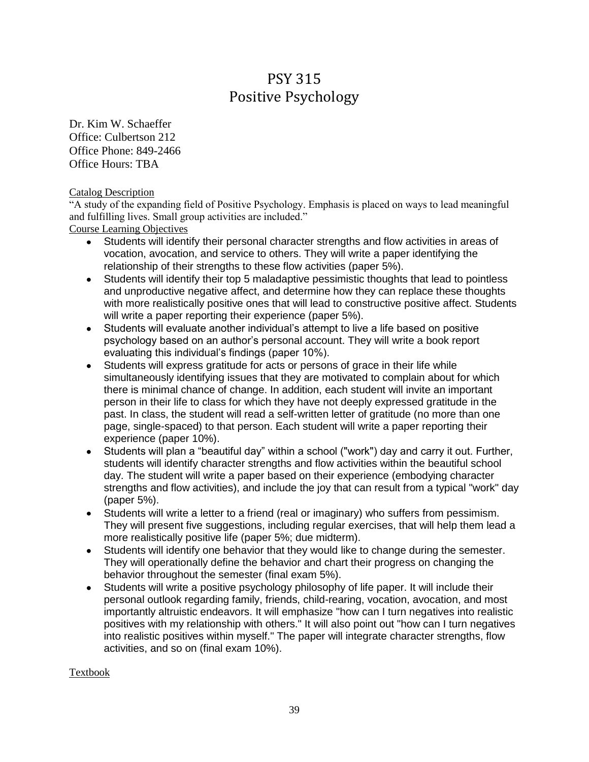# PSY 315 Positive Psychology

Dr. Kim W. Schaeffer Office: Culbertson 212 Office Phone: 849-2466 Office Hours: TBA

Catalog Description

―A study of the expanding field of Positive Psychology. Emphasis is placed on ways to lead meaningful and fulfilling lives. Small group activities are included."

Course Learning Objectives

- Students will identify their personal character strengths and flow activities in areas of vocation, avocation, and service to others. They will write a paper identifying the relationship of their strengths to these flow activities (paper 5%).
- Students will identify their top 5 maladaptive pessimistic thoughts that lead to pointless and unproductive negative affect, and determine how they can replace these thoughts with more realistically positive ones that will lead to constructive positive affect. Students will write a paper reporting their experience (paper 5%).
- Students will evaluate another individual's attempt to live a life based on positive psychology based on an author's personal account. They will write a book report evaluating this individual's findings (paper 10%).
- Students will express gratitude for acts or persons of grace in their life while simultaneously identifying issues that they are motivated to complain about for which there is minimal chance of change. In addition, each student will invite an important person in their life to class for which they have not deeply expressed gratitude in the past. In class, the student will read a self-written letter of gratitude (no more than one page, single-spaced) to that person. Each student will write a paper reporting their experience (paper 10%).
- Students will plan a "beautiful day" within a school ("work") day and carry it out. Further, students will identify character strengths and flow activities within the beautiful school day. The student will write a paper based on their experience (embodying character strengths and flow activities), and include the joy that can result from a typical "work" day (paper 5%).
- Students will write a letter to a friend (real or imaginary) who suffers from pessimism. They will present five suggestions, including regular exercises, that will help them lead a more realistically positive life (paper 5%; due midterm).
- Students will identify one behavior that they would like to change during the semester. They will operationally define the behavior and chart their progress on changing the behavior throughout the semester (final exam 5%).
- Students will write a positive psychology philosophy of life paper. It will include their  $\bullet$ personal outlook regarding family, friends, child-rearing, vocation, avocation, and most importantly altruistic endeavors. It will emphasize "how can I turn negatives into realistic positives with my relationship with others." It will also point out "how can I turn negatives into realistic positives within myself." The paper will integrate character strengths, flow activities, and so on (final exam 10%).

Textbook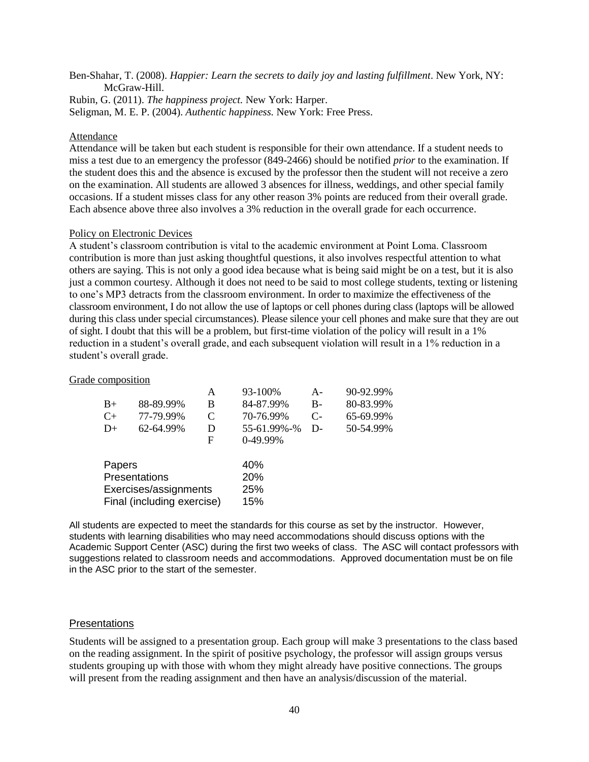Ben-Shahar, T. (2008). *Happier: Learn the secrets to daily joy and lasting fulfillment*. New York, NY: McGraw-Hill.

Rubin, G. (2011). *The happiness project.* New York: Harper.

Seligman, M. E. P. (2004). *Authentic happiness.* New York: Free Press.

## Attendance

Attendance will be taken but each student is responsible for their own attendance. If a student needs to miss a test due to an emergency the professor (849-2466) should be notified *prior* to the examination. If the student does this and the absence is excused by the professor then the student will not receive a zero on the examination. All students are allowed 3 absences for illness, weddings, and other special family occasions. If a student misses class for any other reason 3% points are reduced from their overall grade. Each absence above three also involves a 3% reduction in the overall grade for each occurrence.

## Policy on Electronic Devices

A student's classroom contribution is vital to the academic environment at Point Loma. Classroom contribution is more than just asking thoughtful questions, it also involves respectful attention to what others are saying. This is not only a good idea because what is being said might be on a test, but it is also just a common courtesy. Although it does not need to be said to most college students, texting or listening to one's MP3 detracts from the classroom environment. In order to maximize the effectiveness of the classroom environment, I do not allow the use of laptops or cell phones during class (laptops will be allowed during this class under special circumstances). Please silence your cell phones and make sure that they are out of sight. I doubt that this will be a problem, but first-time violation of the policy will result in a 1% reduction in a student's overall grade, and each subsequent violation will result in a 1% reduction in a student's overall grade.

## Grade composition

|           | А                       | 93-100%                                             | $A -$             | 90-92.99% |
|-----------|-------------------------|-----------------------------------------------------|-------------------|-----------|
| 88-89.99% | В                       | 84-87.99%                                           | $B-$              | 80-83.99% |
| 77-79.99% | C                       | 70-76.99%                                           | $C-$              | 65-69.99% |
| 62-64.99% | D                       | 55-61.99%-%                                         | $D-$              | 50-54.99% |
|           | F                       | 0-49.99%                                            |                   |           |
|           |                         | 40%                                                 |                   |           |
|           |                         |                                                     |                   |           |
|           |                         |                                                     |                   |           |
|           |                         |                                                     |                   |           |
|           | Papers<br>Presentations | Exercises/assignments<br>Final (including exercise) | 20%<br>25%<br>15% |           |

All students are expected to meet the standards for this course as set by the instructor. However, students with learning disabilities who may need accommodations should discuss options with the Academic Support Center (ASC) during the first two weeks of class. The ASC will contact professors with suggestions related to classroom needs and accommodations. Approved documentation must be on file in the ASC prior to the start of the semester.

# **Presentations**

Students will be assigned to a presentation group. Each group will make 3 presentations to the class based on the reading assignment. In the spirit of positive psychology, the professor will assign groups versus students grouping up with those with whom they might already have positive connections. The groups will present from the reading assignment and then have an analysis/discussion of the material.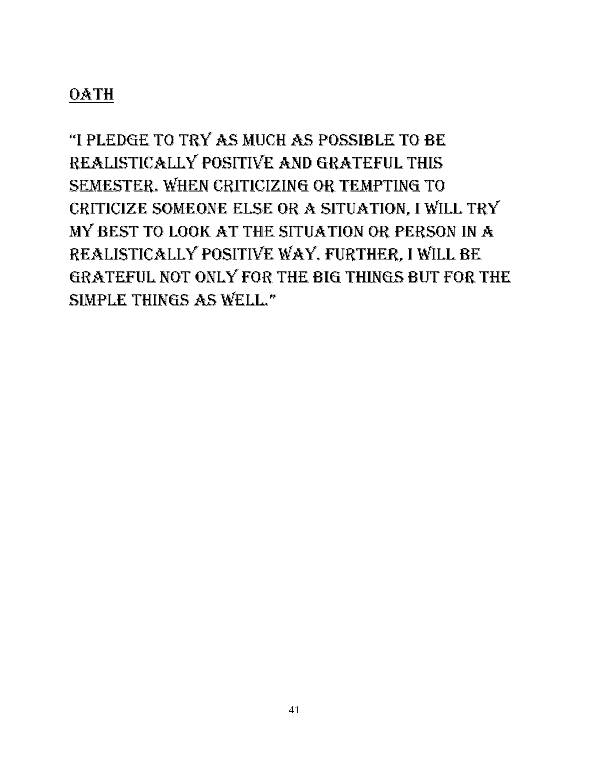# **OATH**

"i pledge to try as much as possible to be realistically positive and grateful this semester. When criticizing or tempting to criticize someone else or a situation, I will try my best to look at the situation or person in a realistically positive way. Further, I will be grateful not only for the big things but for the simple things as well."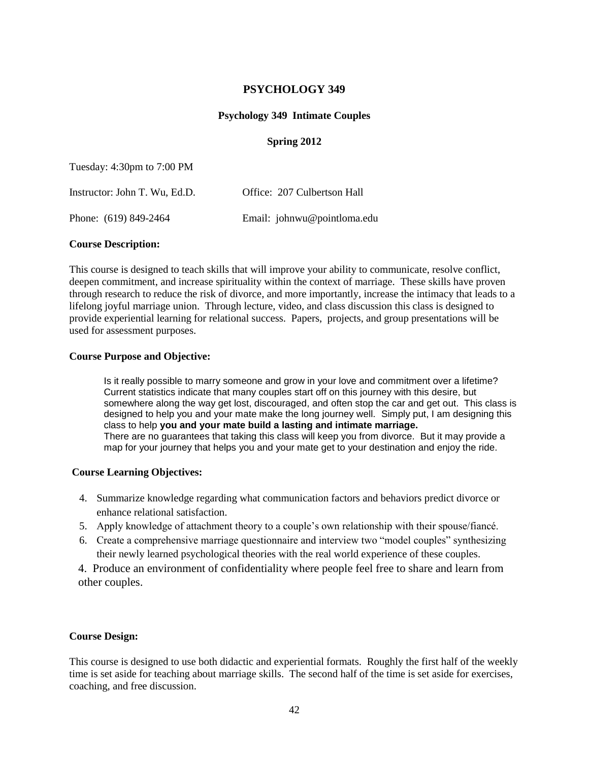#### **PSYCHOLOGY 349**

#### **Psychology 349 Intimate Couples**

#### **Spring 2012**

Tuesday: 4:30pm to 7:00 PM

| Instructor: John T. Wu, Ed.D. | Office: 207 Culbertson Hall |
|-------------------------------|-----------------------------|
| Phone: (619) 849-2464         | Email: johnwu@pointloma.edu |

#### **Course Description:**

This course is designed to teach skills that will improve your ability to communicate, resolve conflict, deepen commitment, and increase spirituality within the context of marriage. These skills have proven through research to reduce the risk of divorce, and more importantly, increase the intimacy that leads to a lifelong joyful marriage union. Through lecture, video, and class discussion this class is designed to provide experiential learning for relational success. Papers, projects, and group presentations will be used for assessment purposes.

#### **Course Purpose and Objective:**

Is it really possible to marry someone and grow in your love and commitment over a lifetime? Current statistics indicate that many couples start off on this journey with this desire, but somewhere along the way get lost, discouraged, and often stop the car and get out. This class is designed to help you and your mate make the long journey well. Simply put, I am designing this class to help **you and your mate build a lasting and intimate marriage.** There are no guarantees that taking this class will keep you from divorce. But it may provide a map for your journey that helps you and your mate get to your destination and enjoy the ride.

#### **Course Learning Objectives:**

- 4. Summarize knowledge regarding what communication factors and behaviors predict divorce or enhance relational satisfaction.
- 5. Apply knowledge of attachment theory to a couple's own relationship with their spouse/fiancé.
- 6. Create a comprehensive marriage questionnaire and interview two "model couples" synthesizing their newly learned psychological theories with the real world experience of these couples.

4. Produce an environment of confidentiality where people feel free to share and learn from other couples.

#### **Course Design:**

This course is designed to use both didactic and experiential formats. Roughly the first half of the weekly time is set aside for teaching about marriage skills. The second half of the time is set aside for exercises, coaching, and free discussion.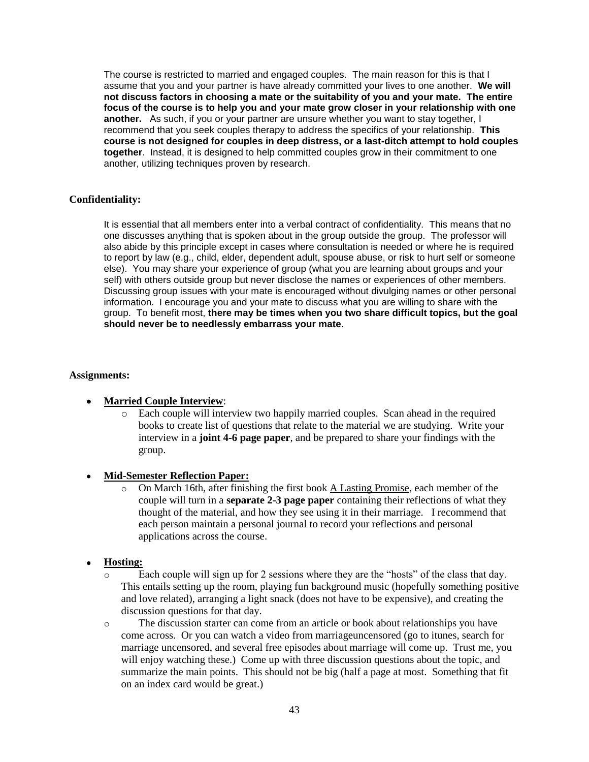The course is restricted to married and engaged couples. The main reason for this is that I assume that you and your partner is have already committed your lives to one another. **We will not discuss factors in choosing a mate or the suitability of you and your mate. The entire focus of the course is to help you and your mate grow closer in your relationship with one another.** As such, if you or your partner are unsure whether you want to stay together, I recommend that you seek couples therapy to address the specifics of your relationship. **This course is not designed for couples in deep distress, or a last-ditch attempt to hold couples together**. Instead, it is designed to help committed couples grow in their commitment to one another, utilizing techniques proven by research.

#### **Confidentiality:**

It is essential that all members enter into a verbal contract of confidentiality. This means that no one discusses anything that is spoken about in the group outside the group. The professor will also abide by this principle except in cases where consultation is needed or where he is required to report by law (e.g., child, elder, dependent adult, spouse abuse, or risk to hurt self or someone else). You may share your experience of group (what you are learning about groups and your self) with others outside group but never disclose the names or experiences of other members. Discussing group issues with your mate is encouraged without divulging names or other personal information. I encourage you and your mate to discuss what you are willing to share with the group. To benefit most, **there may be times when you two share difficult topics, but the goal should never be to needlessly embarrass your mate**.

#### **Assignments:**

#### **Married Couple Interview**:

- Each couple will interview two happily married couples. Scan ahead in the required books to create list of questions that relate to the material we are studying. Write your interview in a **joint 4-6 page paper**, and be prepared to share your findings with the group.
- **Mid-Semester Reflection Paper:**
	- o On March 16th, after finishing the first book A Lasting Promise, each member of the couple will turn in a **separate 2-3 page paper** containing their reflections of what they thought of the material, and how they see using it in their marriage. I recommend that each person maintain a personal journal to record your reflections and personal applications across the course.

#### **Hosting:**

- $\circ$  Each couple will sign up for 2 sessions where they are the "hosts" of the class that day. This entails setting up the room, playing fun background music (hopefully something positive and love related), arranging a light snack (does not have to be expensive), and creating the discussion questions for that day.
- o The discussion starter can come from an article or book about relationships you have come across. Or you can watch a video from marriageuncensored (go to itunes, search for marriage uncensored, and several free episodes about marriage will come up. Trust me, you will enjoy watching these.) Come up with three discussion questions about the topic, and summarize the main points. This should not be big (half a page at most. Something that fit on an index card would be great.)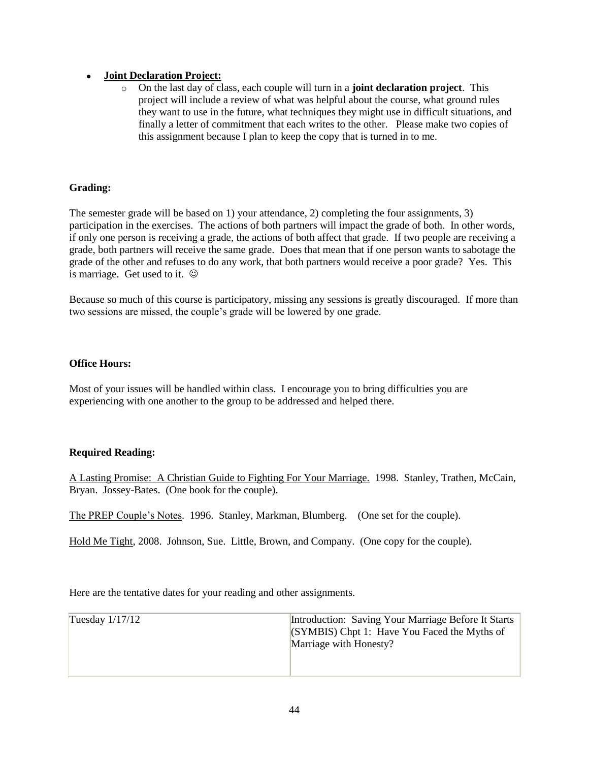#### **Joint Declaration Project:**

o On the last day of class, each couple will turn in a **joint declaration project**. This project will include a review of what was helpful about the course, what ground rules they want to use in the future, what techniques they might use in difficult situations, and finally a letter of commitment that each writes to the other. Please make two copies of this assignment because I plan to keep the copy that is turned in to me.

#### **Grading:**

The semester grade will be based on 1) your attendance, 2) completing the four assignments, 3) participation in the exercises. The actions of both partners will impact the grade of both. In other words, if only one person is receiving a grade, the actions of both affect that grade. If two people are receiving a grade, both partners will receive the same grade. Does that mean that if one person wants to sabotage the grade of the other and refuses to do any work, that both partners would receive a poor grade? Yes. This is marriage. Get used to it.  $\odot$ 

Because so much of this course is participatory, missing any sessions is greatly discouraged. If more than two sessions are missed, the couple's grade will be lowered by one grade.

#### **Office Hours:**

Most of your issues will be handled within class. I encourage you to bring difficulties you are experiencing with one another to the group to be addressed and helped there.

### **Required Reading:**

A Lasting Promise: A Christian Guide to Fighting For Your Marriage. 1998. Stanley, Trathen, McCain, Bryan. Jossey-Bates. (One book for the couple).

The PREP Couple's Notes. 1996. Stanley, Markman, Blumberg. (One set for the couple).

Hold Me Tight, 2008. Johnson, Sue. Little, Brown, and Company. (One copy for the couple).

Here are the tentative dates for your reading and other assignments.

| Tuesday $1/17/12$ | Introduction: Saving Your Marriage Before It Starts<br>$(SYMBIS)$ Chpt 1: Have You Faced the Myths of<br>Marriage with Honesty? |
|-------------------|---------------------------------------------------------------------------------------------------------------------------------|
|-------------------|---------------------------------------------------------------------------------------------------------------------------------|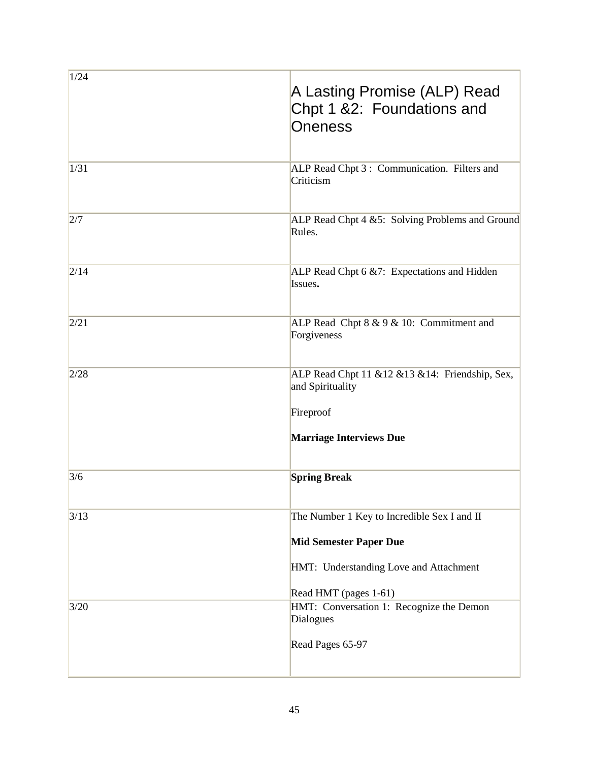| 1/24 | A Lasting Promise (ALP) Read<br>Chpt 1 &2: Foundations and<br><b>Oneness</b>                                           |
|------|------------------------------------------------------------------------------------------------------------------------|
| 1/31 | ALP Read Chpt 3 : Communication. Filters and<br>Criticism                                                              |
| 2/7  | ALP Read Chpt 4 &5: Solving Problems and Ground<br>Rules.                                                              |
| 2/14 | ALP Read Chpt 6 &7: Expectations and Hidden<br>Issues.                                                                 |
| 2/21 | ALP Read Chpt $8 \& 9 \& 10$ : Commitment and<br>Forgiveness                                                           |
| 2/28 | ALP Read Chpt 11 & 12 & 13 & 14: Friendship, Sex,<br>and Spirituality<br>Fireproof                                     |
|      | <b>Marriage Interviews Due</b>                                                                                         |
| 3/6  | <b>Spring Break</b>                                                                                                    |
| 3/13 | The Number 1 Key to Incredible Sex I and II<br><b>Mid Semester Paper Due</b><br>HMT: Understanding Love and Attachment |
|      | Read HMT (pages 1-61)                                                                                                  |
| 3/20 | HMT: Conversation 1: Recognize the Demon<br>Dialogues<br>Read Pages 65-97                                              |
|      |                                                                                                                        |